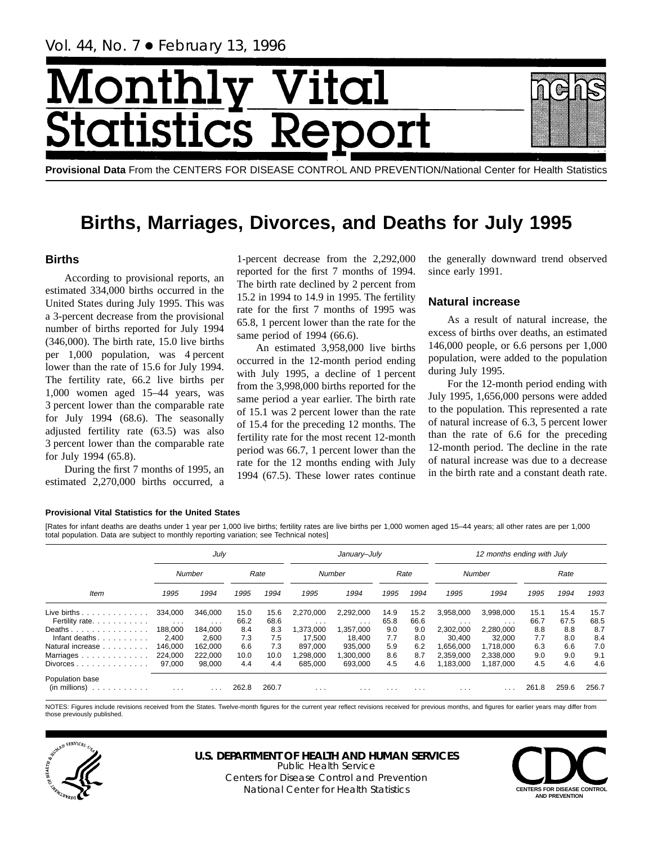# Month Vital tics R tatist

**Provisional Data** From the CENTERS FOR DISEASE CONTROL AND PREVENTION/National Center for Health Statistics

# **Births, Marriages, Divorces, and Deaths for July 1995**

# **Births**

According to provisional reports, an estimated 334,000 births occurred in the United States during July 1995. This was a 3-percent decrease from the provisional number of births reported for July 1994 (346,000). The birth rate, 15.0 live births per 1,000 population, was 4 percent lower than the rate of 15.6 for July 1994. The fertility rate, 66.2 live births per 1,000 women aged 15–44 years, was 3 percent lower than the comparable rate for July 1994 (68.6). The seasonally adjusted fertility rate (63.5) was also 3 percent lower than the comparable rate for July 1994 (65.8).

During the first 7 months of 1995, an estimated 2,270,000 births occurred, a

1-percent decrease from the 2,292,000 reported for the first 7 months of 1994. The birth rate declined by 2 percent from 15.2 in 1994 to 14.9 in 1995. The fertility rate for the first 7 months of 1995 was 65.8, 1 percent lower than the rate for the same period of 1994 (66.6).

An estimated 3,958,000 live births occurred in the 12-month period ending with July 1995, a decline of 1 percent from the 3,998,000 births reported for the same period a year earlier. The birth rate of 15.1 was 2 percent lower than the rate of 15.4 for the preceding 12 months. The fertility rate for the most recent 12-month period was 66.7, 1 percent lower than the rate for the 12 months ending with July 1994 (67.5). These lower rates continue

the generally downward trend observed since early 1991.

# **Natural increase**

As a result of natural increase, the excess of births over deaths, an estimated 146,000 people, or 6.6 persons per 1,000 population, were added to the population during July 1995.

For the 12-month period ending with July 1995, 1,656,000 persons were added to the population. This represented a rate of natural increase of 6.3, 5 percent lower than the rate of 6.6 for the preceding 12-month period. The decline in the rate of natural increase was due to a decrease in the birth rate and a constant death rate.

## **Provisional Vital Statistics for the United States**

[Rates for infant deaths are deaths under 1 year per 1,000 live births; fertility rates are live births per 1,000 women aged 15–44 years; all other rates are per 1,000 total population. Data are subject to monthly reporting variation; see Technical notes]

|                                                         |                                 | July                            |              |              |                       | January-July            |                         |              |                        | 12 months ending with July |              |              |              |
|---------------------------------------------------------|---------------------------------|---------------------------------|--------------|--------------|-----------------------|-------------------------|-------------------------|--------------|------------------------|----------------------------|--------------|--------------|--------------|
|                                                         |                                 | Number                          |              | Rate         |                       | Number                  |                         | Rate         |                        | Number                     |              | Rate         |              |
| Item                                                    | 1995                            | 1994                            | 1995         | 1994         | 1995                  | 1994                    | 1995                    | 1994         | 1995                   | 1994                       | 1995         | 1994         | 1993         |
| Live births $\ldots$<br>Fertility rate.                 | 334.000<br>$\sim$ $\sim$ $\sim$ | 346.000<br>$\sim$ $\sim$ $\sim$ | 15.0<br>66.2 | 15.6<br>68.6 | 2,270,000<br>$\cdots$ | 2,292,000<br>$\cdots$   | 14.9<br>65.8            | 15.2<br>66.6 | 3,958,000<br>$\cdots$  | 3,998,000<br>$\cdots$      | 15.1<br>66.7 | 15.4<br>67.5 | 15.7<br>68.5 |
| Deaths<br>Infant deaths.                                | 188.000<br>2,400                | 184.000<br>2,600                | 8.4<br>7.3   | 8.3<br>7.5   | 1,373,000<br>17,500   | 1,357,000<br>18.400     | 9.0<br>7.7              | 9.0<br>8.0   | 2,302,000<br>30,400    | 2,280,000<br>32,000        | 8.8<br>7.7   | 8.8<br>8.0   | 8.7<br>8.4   |
| Natural increase<br>Marriages                           | 146.000<br>224.000              | 162.000<br>222.000              | 6.6<br>10.0  | 7.3<br>10.0  | 897.000<br>,298,000   | 935.000<br>1,300,000    | 5.9<br>8.6              | 6.2<br>8.7   | 1.656.000<br>2.359.000 | 1.718.000<br>2.338.000     | 6.3<br>9.0   | 6.6<br>9.0   | 7.0<br>9.1   |
| $Div$ or $ces \ldots \ldots \ldots \ldots$              | 97,000                          | 98,000                          | 4.4          | 4.4          | 685.000               | 693.000                 | 4.5                     | 4.6          | 1.183.000              | 1.187.000                  | 4.5          | 4.6          | 4.6          |
| Population base<br>$(in$ millions $) \dots \dots \dots$ | $\sim$ $\sim$ $\sim$            | .                               | 262.8        | 260.7        | $\cdots$              | $\cdot$ $\cdot$ $\cdot$ | $\cdot$ $\cdot$ $\cdot$ | $\cdots$     | $\cdots$               |                            | 261.8        | 259.6        | 256.7        |

NOTES: Figures include revisions received from the States. Twelve-month figures for the current year reflect revisions received for previous months, and figures for earlier years may differ from those previously published.



#### **U.S. DEPARTMENT OF HEALTH AND HUMAN SERVICES** Public Health Service

Centers for Disease Control and Prevention National Center for Health Statistics **CENTERS FOR DISEASE CONTROL** 

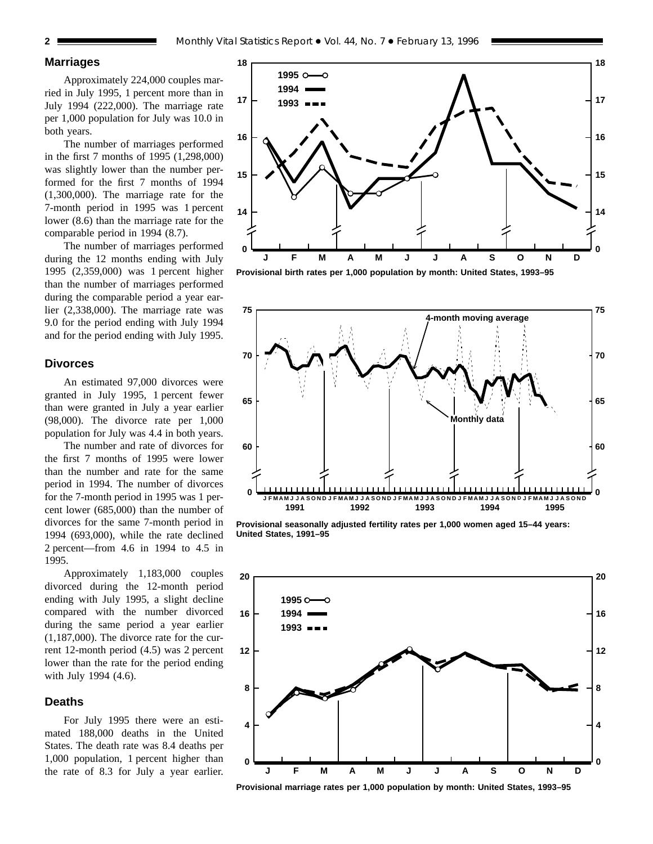## **Marriages**

Approximately 224,000 couples married in July 1995, 1 percent more than in July 1994 (222,000). The marriage rate per 1,000 population for July was 10.0 in both years.

The number of marriages performed in the first 7 months of 1995 (1,298,000) was slightly lower than the number performed for the first 7 months of 1994 (1,300,000). The marriage rate for the 7-month period in 1995 was 1 percent lower (8.6) than the marriage rate for the comparable period in 1994 (8.7).

The number of marriages performed during the 12 months ending with July 1995 (2,359,000) was 1 percent higher than the number of marriages performed during the comparable period a year earlier (2,338,000). The marriage rate was 9.0 for the period ending with July 1994 and for the period ending with July 1995.

## **Divorces**

An estimated 97,000 divorces were granted in July 1995, 1 percent fewer than were granted in July a year earlier (98,000). The divorce rate per 1,000 population for July was 4.4 in both years.

The number and rate of divorces for the first 7 months of 1995 were lower than the number and rate for the same period in 1994. The number of divorces for the 7-month period in 1995 was 1 percent lower (685,000) than the number of divorces for the same 7-month period in 1994 (693,000), while the rate declined 2 percent—from 4.6 in 1994 to 4.5 in 1995.

Approximately 1,183,000 couples divorced during the 12-month period ending with July 1995, a slight decline compared with the number divorced during the same period a year earlier (1,187,000). The divorce rate for the current 12-month period (4.5) was 2 percent lower than the rate for the period ending with July 1994 (4.6).

## **Deaths**

For July 1995 there were an estimated 188,000 deaths in the United States. The death rate was 8.4 deaths per 1,000 population, 1 percent higher than the rate of 8.3 for July a year earlier.



**Provisional birth rates per 1,000 population by month: United States, 1993–95**



**Provisional seasonally adjusted fertility rates per 1,000 women aged 15–44 years: United States, 1991–95**



**Provisional marriage rates per 1,000 population by month: United States, 1993–95**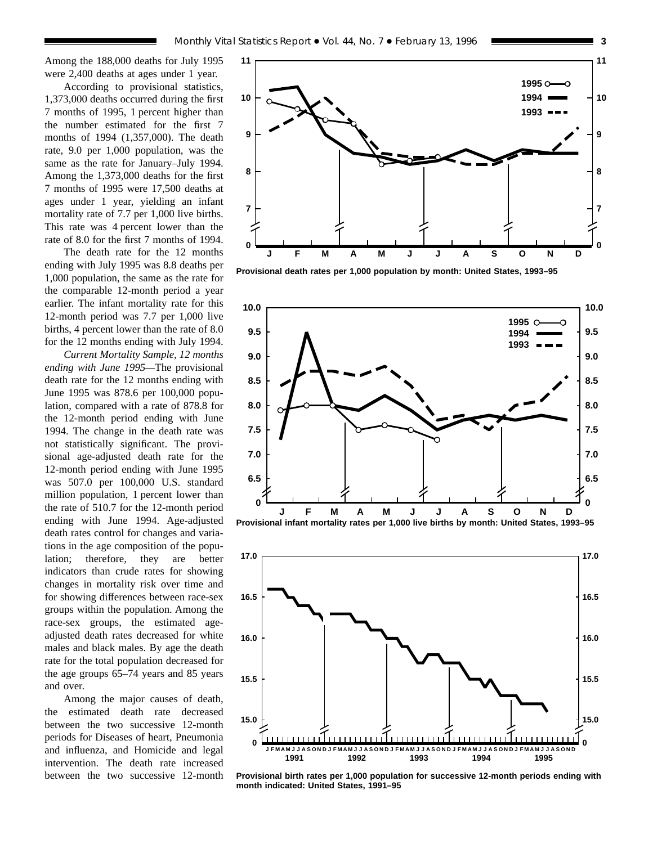Among the 188,000 deaths for July 1995 were 2,400 deaths at ages under 1 year.

According to provisional statistics, 1,373,000 deaths occurred during the first 7 months of 1995, 1 percent higher than the number estimated for the first 7 months of 1994 (1,357,000). The death rate, 9.0 per 1,000 population, was the same as the rate for January–July 1994. Among the 1,373,000 deaths for the first 7 months of 1995 were 17,500 deaths at ages under 1 year, yielding an infant mortality rate of 7.7 per 1,000 live births. This rate was 4 percent lower than the rate of 8.0 for the first 7 months of 1994.

The death rate for the 12 months ending with July 1995 was 8.8 deaths per 1,000 population, the same as the rate for the comparable 12-month period a year earlier. The infant mortality rate for this 12-month period was 7.7 per 1,000 live births, 4 percent lower than the rate of 8.0 for the 12 months ending with July 1994.

*Current Mortality Sample, 12 months ending with June 1995—*The provisional death rate for the 12 months ending with June 1995 was 878.6 per 100,000 population, compared with a rate of 878.8 for the 12-month period ending with June 1994. The change in the death rate was not statistically significant. The provisional age-adjusted death rate for the 12-month period ending with June 1995 was 507.0 per 100,000 U.S. standard million population, 1 percent lower than the rate of 510.7 for the 12-month period ending with June 1994. Age-adjusted death rates control for changes and variations in the age composition of the population; therefore, they are better indicators than crude rates for showing changes in mortality risk over time and for showing differences between race-sex groups within the population. Among the race-sex groups, the estimated ageadjusted death rates decreased for white males and black males. By age the death rate for the total population decreased for the age groups 65–74 years and 85 years and over.

Among the major causes of death, the estimated death rate decreased between the two successive 12-month periods for Diseases of heart, Pneumonia and influenza, and Homicide and legal intervention. The death rate increased between the two successive 12-month



**Provisional death rates per 1,000 population by month: United States, 1993–95**



![](_page_2_Figure_9.jpeg)

**Provisional birth rates per 1,000 population for successive 12-month periods ending with month indicated: United States, 1991–95**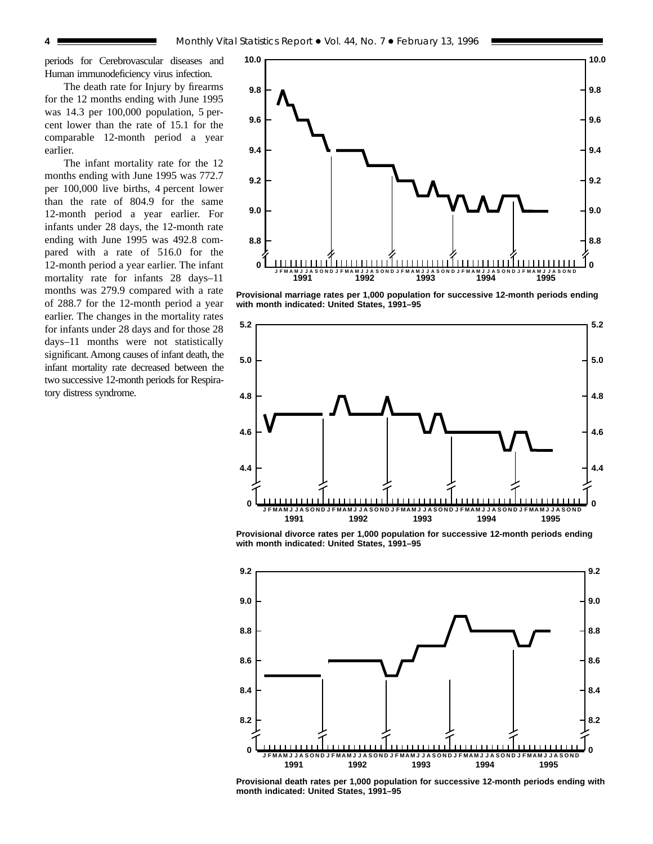periods for Cerebrovascular diseases and Human immunodeficiency virus infection.

The death rate for Injury by firearms for the 12 months ending with June 1995 was 14.3 per 100,000 population, 5 percent lower than the rate of 15.1 for the comparable 12-month period a year earlier.

The infant mortality rate for the 12 months ending with June 1995 was 772.7 per 100,000 live births, 4 percent lower than the rate of 804.9 for the same 12-month period a year earlier. For infants under 28 days, the 12-month rate ending with June 1995 was 492.8 compared with a rate of 516.0 for the 12-month period a year earlier. The infant mortality rate for infants 28 days–11 months was 279.9 compared with a rate of 288.7 for the 12-month period a year earlier. The changes in the mortality rates for infants under 28 days and for those 28 days–11 months were not statistically significant. Among causes of infant death, the infant mortality rate decreased between the two successive 12-month periods for Respiratory distress syndrome.

![](_page_3_Figure_4.jpeg)

**Provisional marriage rates per 1,000 population for successive 12-month periods ending with month indicated: United States, 1991–95**

![](_page_3_Figure_6.jpeg)

**Provisional divorce rates per 1,000 population for successive 12-month periods ending with month indicated: United States, 1991–95**

![](_page_3_Figure_8.jpeg)

**Provisional death rates per 1,000 population for successive 12-month periods ending with month indicated: United States, 1991–95**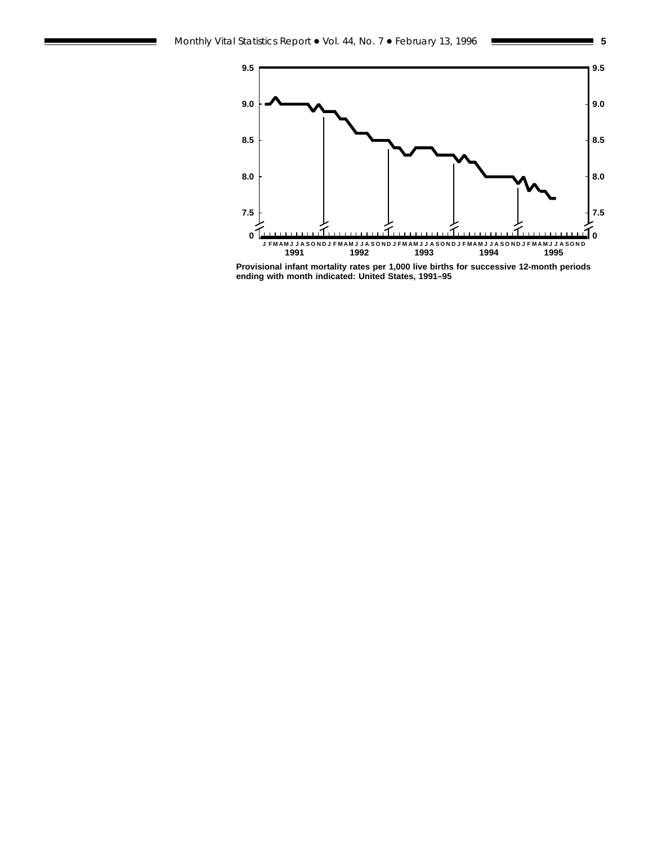![](_page_4_Figure_1.jpeg)

**Provisional infant mortality rates per 1,000 live births for successive 12-month periods ending with month indicated: United States, 1991–95**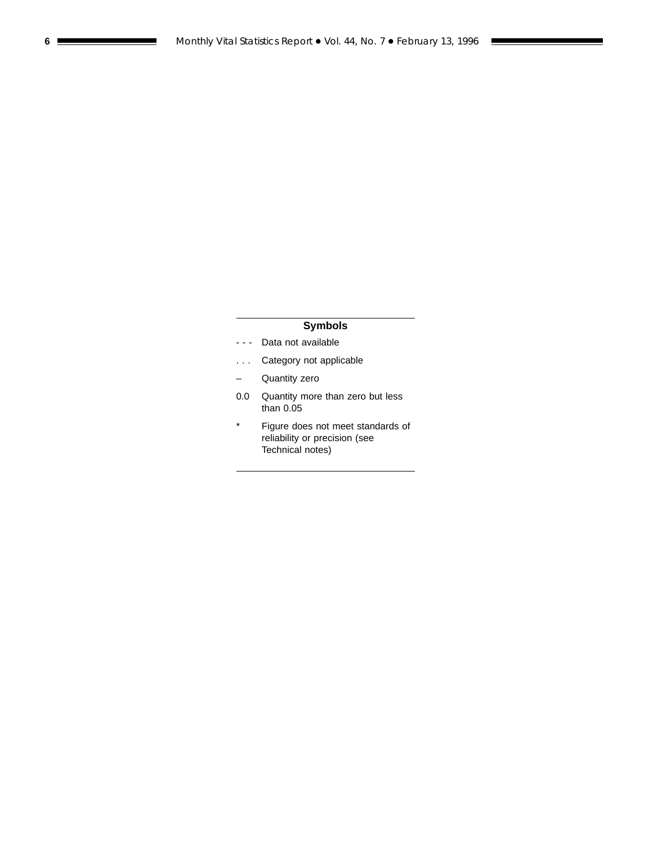# **Symbols**

- - Data not available
- . . . Category not applicable
- Quantity zero
- 0.0 Quantity more than zero but less than 0.05
- \* Figure does not meet standards of reliability or precision (see Technical notes)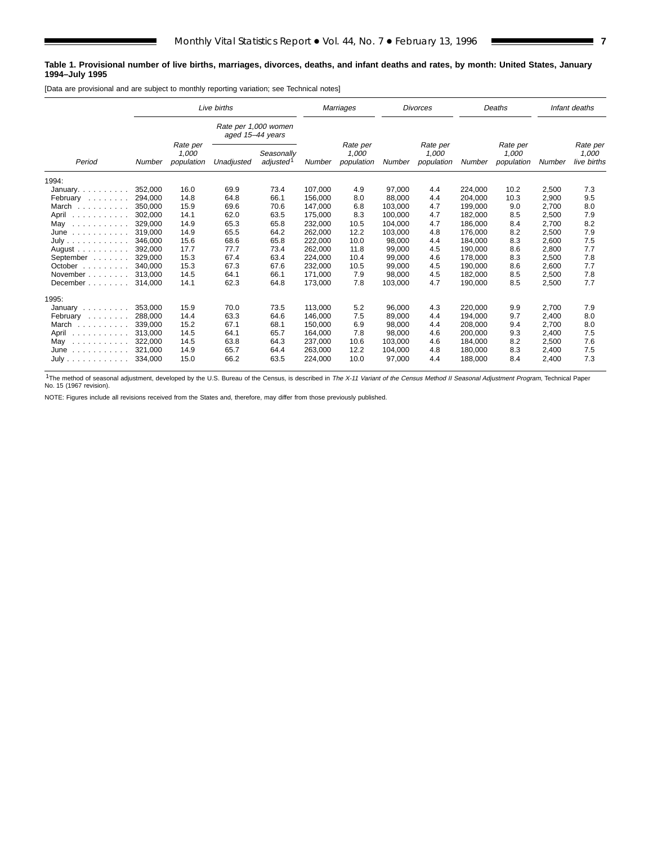### **Table 1. Provisional number of live births, marriages, divorces, deaths, and infant deaths and rates, by month: United States, January 1994–July 1995**

[Data are provisional and are subject to monthly reporting variation; see Technical notes]

|                                                                                                      | Live births |                                 |                  | Marriages                           |         | <b>Divorces</b>                 |         |                                 | Deaths  |                                 | Infant deaths |                                  |
|------------------------------------------------------------------------------------------------------|-------------|---------------------------------|------------------|-------------------------------------|---------|---------------------------------|---------|---------------------------------|---------|---------------------------------|---------------|----------------------------------|
|                                                                                                      |             |                                 | aged 15-44 years | Rate per 1,000 women                |         |                                 |         |                                 |         |                                 |               |                                  |
| Period                                                                                               | Number      | Rate per<br>1,000<br>population | Unadjusted       | Seasonally<br>adjusted <sup>1</sup> | Number  | Rate per<br>1,000<br>population | Number  | Rate per<br>1,000<br>population | Number  | Rate per<br>1,000<br>population | Number        | Rate per<br>1,000<br>live births |
| 1994:                                                                                                |             |                                 |                  |                                     |         |                                 |         |                                 |         |                                 |               |                                  |
| January. $\ldots$ .                                                                                  | 352.000     | 16.0                            | 69.9             | 73.4                                | 107.000 | 4.9                             | 97.000  | 4.4                             | 224.000 | 10.2                            | 2,500         | 7.3                              |
| February                                                                                             | 294,000     | 14.8                            | 64.8             | 66.1                                | 156,000 | 8.0                             | 88,000  | 4.4                             | 204,000 | 10.3                            | 2,900         | 9.5                              |
| March                                                                                                | 350.000     | 15.9                            | 69.6             | 70.6                                | 147,000 | 6.8                             | 103.000 | 4.7                             | 199,000 | 9.0                             | 2,700         | 8.0                              |
| April<br>.                                                                                           | 302.000     | 14.1                            | 62.0             | 63.5                                | 175,000 | 8.3                             | 100.000 | 4.7                             | 182,000 | 8.5                             | 2,500         | 7.9                              |
| May<br>$\begin{array}{cccccccccccccc} . & . & . & . & . & . & . & . & . & . & . & . & . \end{array}$ | 329,000     | 14.9                            | 65.3             | 65.8                                | 232,000 | 10.5                            | 104,000 | 4.7                             | 186,000 | 8.4                             | 2,700         | 8.2                              |
| June<br>.                                                                                            | 319.000     | 14.9                            | 65.5             | 64.2                                | 262,000 | 12.2                            | 103,000 | 4.8                             | 176,000 | 8.2                             | 2,500         | 7.9                              |
| July                                                                                                 | 346.000     | 15.6                            | 68.6             | 65.8                                | 222,000 | 10.0                            | 98,000  | 4.4                             | 184.000 | 8.3                             | 2,600         | 7.5                              |
| August $\ldots$                                                                                      | 392.000     | 17.7                            | 77.7             | 73.4                                | 262,000 | 11.8                            | 99,000  | 4.5                             | 190.000 | 8.6                             | 2,800         | 7.7                              |
| September                                                                                            | 329.000     | 15.3                            | 67.4             | 63.4                                | 224,000 | 10.4                            | 99,000  | 4.6                             | 178,000 | 8.3                             | 2,500         | 7.8                              |
| October $\ldots$ , $\ldots$                                                                          | 340.000     | 15.3                            | 67.3             | 67.6                                | 232.000 | 10.5                            | 99.000  | 4.5                             | 190.000 | 8.6                             | 2,600         | 7.7                              |
| November                                                                                             | 313.000     | 14.5                            | 64.1             | 66.1                                | 171,000 | 7.9                             | 98.000  | 4.5                             | 182,000 | 8.5                             | 2,500         | 7.8                              |
| December                                                                                             | 314.000     | 14.1                            | 62.3             | 64.8                                | 173,000 | 7.8                             | 103,000 | 4.7                             | 190,000 | 8.5                             | 2,500         | 7.7                              |
| 1995:                                                                                                |             |                                 |                  |                                     |         |                                 |         |                                 |         |                                 |               |                                  |
| January $\ldots$ , $\ldots$                                                                          | 353,000     | 15.9                            | 70.0             | 73.5                                | 113,000 | 5.2                             | 96,000  | 4.3                             | 220,000 | 9.9                             | 2,700         | 7.9                              |
| February<br>$\alpha$ , and $\alpha$ , and $\alpha$                                                   | 288.000     | 14.4                            | 63.3             | 64.6                                | 146.000 | 7.5                             | 89.000  | 4.4                             | 194.000 | 9.7                             | 2,400         | 8.0                              |
| March                                                                                                | 339.000     | 15.2                            | 67.1             | 68.1                                | 150,000 | 6.9                             | 98,000  | 4.4                             | 208,000 | 9.4                             | 2,700         | 8.0                              |
| April<br>.                                                                                           | 313.000     | 14.5                            | 64.1             | 65.7                                | 164,000 | 7.8                             | 98,000  | 4.6                             | 200,000 | 9.3                             | 2,400         | 7.5                              |
| May<br>.                                                                                             | 322,000     | 14.5                            | 63.8             | 64.3                                | 237,000 | 10.6                            | 103,000 | 4.6                             | 184,000 | 8.2                             | 2,500         | 7.6                              |
| June<br>.                                                                                            | 321,000     | 14.9                            | 65.7             | 64.4                                | 263.000 | 12.2                            | 104,000 | 4.8                             | 180.000 | 8.3                             | 2,400         | 7.5                              |
| July                                                                                                 | 334,000     | 15.0                            | 66.2             | 63.5                                | 224,000 | 10.0                            | 97,000  | 4.4                             | 188,000 | 8.4                             | 2,400         | 7.3                              |

<sup>1</sup>The method of seasonal adjustment, developed by the U.S. Bureau of the Census, is described in The X-11 Variant of the Census Method II Seasonal Adjustment Program, Technical Paper<br>No. 15 (1967 revision).

NOTE: Figures include all revisions received from the States and, therefore, may differ from those previously published.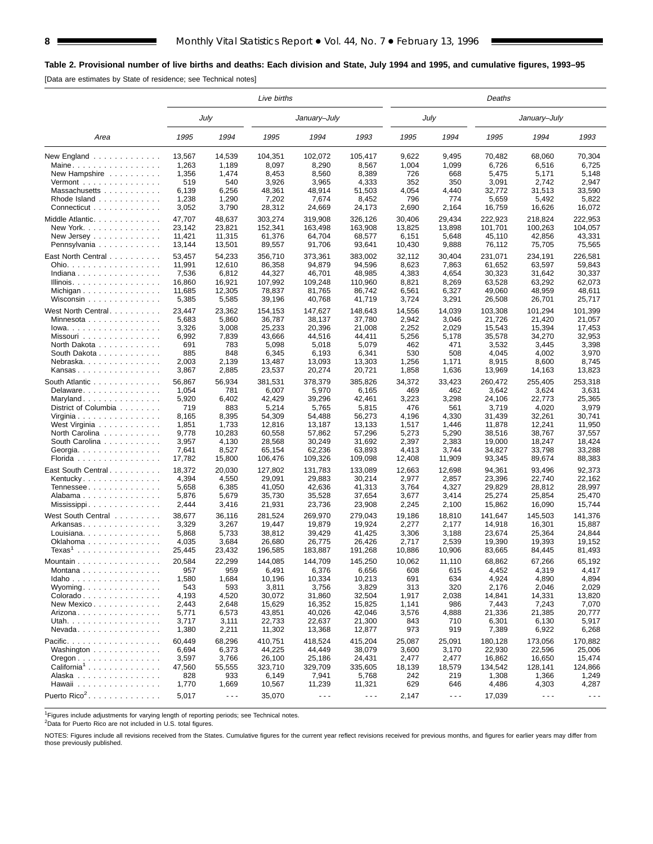# **Table 2. Provisional number of live births and deaths: Each division and State, July 1994 and 1995, and cumulative figures, 1993–95**

[Data are estimates by State of residence; see Technical notes]

|                                                          | Live births     |                      |                  |                      |                      | Deaths         |                      |                 |                      |                      |  |  |  |
|----------------------------------------------------------|-----------------|----------------------|------------------|----------------------|----------------------|----------------|----------------------|-----------------|----------------------|----------------------|--|--|--|
|                                                          |                 | July                 |                  | January-July         |                      |                | July                 |                 | January-July         |                      |  |  |  |
| Area                                                     | 1995            | 1994                 | 1995             | 1994                 | 1993                 | 1995           | 1994                 | 1995            | 1994                 | 1993                 |  |  |  |
| New England $\ldots$<br>Maine                            | 13.567<br>1,263 | 14,539<br>1,189      | 104,351<br>8,097 | 102,072<br>8,290     | 105,417<br>8,567     | 9,622<br>1,004 | 9,495<br>1,099       | 70,482<br>6,726 | 68,060<br>6,516      | 70,304<br>6,725      |  |  |  |
| New Hampshire                                            | 1,356           | 1,474                | 8,453            | 8,560                | 8,389                | 726            | 668                  | 5,475           | 5,171                | 5,148                |  |  |  |
| Vermont $\dots\dots\dots\dots\dots\dots$                 | 519             | 540                  | 3,926            | 3,965                | 4,333                | 352            | 350                  | 3,091           | 2,742                | 2,947                |  |  |  |
| Massachusetts                                            | 6,139           | 6,256                | 48,361           | 48,914               | 51,503               | 4,054          | 4,440                | 32,772          | 31,513               | 33,590               |  |  |  |
| Rhode Island                                             | 1,238           | 1,290                | 7,202            | 7,674                | 8,452                | 796            | 774                  | 5,659           | 5,492                | 5,822                |  |  |  |
| Connecticut                                              | 3,052           | 3,790                | 28,312           | 24,669               | 24,173               | 2,690          | 2,164                | 16,759          | 16,626               | 16,072               |  |  |  |
| Middle Atlantic                                          | 47,707          | 48,637               | 303,274          | 319,908              | 326,126              | 30,406         | 29,434               | 222,923         | 218,824              | 222,953              |  |  |  |
| New York.                                                | 23,142          | 23,821               | 152,341          | 163,498              | 163,908              | 13,825         | 13,898               | 101,701         | 100,263              | 104,057              |  |  |  |
| New Jersey                                               | 11,421          | 11,315               | 61,376           | 64,704               | 68,577               | 6,151          | 5,648                | 45,110          | 42,856               | 43,331               |  |  |  |
| Pennsylvania                                             | 13,144          | 13,501               | 89,557           | 91,706               | 93,641               | 10,430         | 9,888                | 76,112          | 75,705               | 75,565               |  |  |  |
| East North Central                                       | 53,457          | 54,233               | 356,710          | 373,361              | 383,002              | 32,112         | 30.404               | 231,071         | 234,191              | 226,581              |  |  |  |
| Ohio.                                                    | 11,991          | 12,610               | 86,358           | 94,879               | 94,596               | 8,623          | 7,863                | 61,652          | 63,597               | 59,843               |  |  |  |
| Indiana                                                  | 7,536           | 6,812                | 44,327           | 46,701               | 48,985               | 4,383          | 4,654                | 30,323          | 31,642               | 30,337               |  |  |  |
| Illinois.                                                | 16,860          | 16,921               | 107,992          | 109,248              | 110,960              | 8,821          | 8,269                | 63,528          | 63,292               | 62,073               |  |  |  |
| Michigan                                                 | 11,685          | 12,305               | 78,837           | 81,765               | 86,742               | 6,561          | 6,327                | 49,060          | 48,959               | 48,611               |  |  |  |
| Wisconsin                                                | 5,385           | 5,585                | 39,196           | 40,768               | 41,719               | 3,724          | 3,291                | 26,508          | 26,701               | 25,717               |  |  |  |
| West North Central                                       | 23,447          | 23,362               | 154.153          | 147,627              | 148.643              | 14,556         | 14,039               | 103,308         | 101,294              | 101,399              |  |  |  |
| Minnesota                                                | 5,683           | 5,860                | 36,787           | 38,137               | 37,780               | 2,942          | 3,046                | 21,726          | 21,420               | 21,057               |  |  |  |
| $Iowa.$                                                  | 3,326           | 3,008                | 25,233           | 20,396               | 21,008               | 2,252          | 2,029                | 15,543          | 15,394               | 17,453               |  |  |  |
| Missouri                                                 | 6,992           | 7,839                | 43,666           | 44,516               | 44,411               | 5,256          | 5,178                | 35,578          | 34,270               | 32,953               |  |  |  |
| North Dakota                                             | 691             | 783                  | 5,098            | 5,018                | 5,079                | 462            | 471                  | 3,532           | 3,445                | 3,398                |  |  |  |
| South Dakota                                             | 885             | 848                  | 6,345            | 6,193                | 6,341                | 530            | 508                  | 4,045           | 4,002                | 3,970                |  |  |  |
| Nebraska                                                 | 2,003           | 2,139                | 13,487           | 13,093               | 13,303               | 1,256          | 1,171                | 8,915           | 8,600                | 8,745                |  |  |  |
| Kansas                                                   | 3,867           | 2,885                | 23,537           | 20,274               | 20,721               | 1,858          | 1,636                | 13,969          | 14,163               | 13,823               |  |  |  |
| South Atlantic                                           | 56.867          | 56,934               | 381,531          | 378,379              | 385,826              | 34,372         | 33,423               | 260,472         | 255.405              | 253,318              |  |  |  |
| Delaware                                                 | 1,054           | 781                  | 6,007            | 5,970                | 6,165                | 469            | 462                  | 3,642           | 3,624                | 3,631                |  |  |  |
| Maryland                                                 | 5,920           | 6,402                | 42,429           | 39,296               | 42,461               | 3,223          | 3,298                | 24,106          | 22,773               | 25,365               |  |  |  |
| District of Columbia                                     | 719             | 883                  | 5,214            | 5,765                | 5,815                | 476            | 561                  | 3,719           | 4,020                | 3,979                |  |  |  |
| Virginia                                                 | 8,165           | 8,395                | 54,309           | 54,488               | 56,273               | 4,196          | 4,330                | 31,439          | 32,261               | 30,741               |  |  |  |
| West Virginia                                            | 1,851           | 1,733                | 12,816           | 13,187               | 13,133               | 1,517          | 1,446                | 11,878          | 12,241               | 11,950               |  |  |  |
| North Carolina                                           | 9,778           | 10,283               | 60,558           | 57,862               | 57,296               | 5,273          | 5,290                | 38,516          | 38,767               | 37,557               |  |  |  |
| South Carolina                                           | 3,957           | 4,130                | 28,568           | 30,249               | 31,692               | 2,397          | 2,383                | 19,000          | 18,247               | 18,424               |  |  |  |
| Georgia.                                                 | 7,641           | 8,527                | 65,154           | 62,236               | 63,893               | 4,413          | 3,744                | 34,827          | 33,798               | 33,288               |  |  |  |
| Florida                                                  | 17,782          | 15,800               | 106,476          | 109,326              | 109,098              | 12,408         | 11,909               | 93,345          | 89,674               | 88,383               |  |  |  |
| East South Central                                       | 18,372          | 20,030               | 127,802          | 131,783              | 133,089              | 12,663         | 12,698               | 94,361          | 93,496               | 92,373               |  |  |  |
| Kentucky                                                 | 4,394           | 4,550                | 29,091           | 29,883               | 30,214               | 2,977          | 2,857                | 23,396          | 22,740               | 22.162               |  |  |  |
| Tennessee                                                | 5,658           | 6,385                | 41,050           | 42,636               | 41,313               | 3,764          | 4,327                | 29,829          | 28,812               | 28,997               |  |  |  |
| Alabama                                                  | 5,876           | 5,679                | 35,730           | 35,528               | 37,654               | 3,677          | 3,414                | 25,274          | 25,854               | 25,470               |  |  |  |
| Mississippi                                              | 2,444           | 3,416                | 21,931           | 23,736               | 23,908               | 2,245          | 2,100                | 15,862          | 16,090               | 15,744               |  |  |  |
| West South Central                                       | 38,677          | 36,116               | 281,524          | 269,970              | 279,043              | 19,186         | 18,810               | 141,647         | 145,503              | 141,376              |  |  |  |
| Arkansas                                                 | 3,329           | 3,267                | 19,447           | 19,879               | 19,924               | 2,277          | 2,177                | 14,918          | 16,301               | 15,887               |  |  |  |
| Louisiana.                                               | 5,868           | 5,733                | 38,812           | 39,429               | 41,425               | 3,306          | 3,188                | 23,674          | 25,364               | 24,844               |  |  |  |
| Oklahoma                                                 | 4,035           | 3,684                | 26,680           | 26,775               | 26,426               | 2,717          | 2,539                | 19,390          | 19,393               | 19,152               |  |  |  |
| $Texas1$                                                 | 25,445          | 23,432               | 196,585          | 183,887              | 191,268              | 10,886         | 10,906               | 83,665          | 84,445               | 81,493               |  |  |  |
| Mountain $\ldots$ , $\ldots$ , $\ldots$ , $\ldots$       | 20,584          | 22,299               | 144,085          | 144,709              | 145,250              | 10,062         | 11,110               | 68,862          | 67,266               | 65,192               |  |  |  |
| Montana                                                  | 957             | 959                  | 6,491            | 6,376                | 6,656                | 608            | 615                  | 4,452           | 4,319                | 4,417                |  |  |  |
| $Idaho$                                                  | 1,580           | 1,684                | 10,196           | 10,334               | 10,213               | 691            | 634                  | 4,924           | 4,890                | 4,894                |  |  |  |
| Wyoming                                                  | 543             | 593                  | 3,811            | 3,756                | 3,829                | 313            | 320                  | 2,176           | 2,046                | 2,029                |  |  |  |
| Colorado                                                 | 4,193           | 4,520                | 30,072           | 31,860               | 32,504               | 1,917          | 2,038                | 14,841          | 14,331               | 13,820               |  |  |  |
| New Mexico                                               | 2,443           | 2,648                | 15,629           | 16,352               | 15,825               | 1,141          | 986                  | 7,443           | 7,243                | 7,070                |  |  |  |
| Arizona                                                  | 5,771           | 6,573                | 43,851           | 40,026               | 42,046               | 3,576          | 4,888                | 21,336          | 21,385               | 20,777               |  |  |  |
| Utah.                                                    | 3,717           | 3,111                | 22,733           | 22,637               | 21,300               | 843            | 710                  | 6,301           | 6,130                | 5,917                |  |  |  |
| $N$ evada                                                | 1,380           | 2,211                | 11,302           | 13,368               | 12,877               | 973            | 919                  | 7,389           | 6,922                | 6,268                |  |  |  |
| Pacific.                                                 | 60,449          | 68,296               | 410,751          | 418,524              | 415,204              | 25,087         | 25,091               | 180,128         | 173,056              | 170.882              |  |  |  |
| Washington                                               | 6,694           | 6,373                | 44,225           | 44,449               | 38,079               | 3,600          | 3,170                | 22,930          | 22,596               | 25,006               |  |  |  |
| $O$ regon $\ldots$ $\ldots$ $\ldots$ $\ldots$ $\ldots$ . | 3,597           | 3,766                | 26,100           | 25,186               | 24,431               | 2,477          | 2,477                | 16,862          | 16,650               | 15,474               |  |  |  |
| California <sup>1</sup>                                  | 47,560          | 55,555               | 323,710          | 329,709              | 335,605              | 18,139         | 18,579               | 134,542         | 128,141              | 124,866              |  |  |  |
| Alaska                                                   | 828             | 933                  | 6,149            | 7,941                | 5,768                | 242            | 219                  | 1,308           | 1,366                | 1,249                |  |  |  |
| Hawaii                                                   | 1,770           | 1,669                | 10,567           | 11,239               | 11,321               | 629            | 646                  | 4,486           | 4,303                | 4,287                |  |  |  |
| Puerto Rico <sup>2</sup> .                               | 5,017           | $\sim$ $\sim$ $\sim$ | 35,070           | $\sim$ $\sim$ $\sim$ | $\sim$ $\sim$ $\sim$ | 2,147          | $\sim$ $\sim$ $\sim$ | 17,039          | $\sim$ $\sim$ $\sim$ | $\sim$ $\sim$ $\sim$ |  |  |  |
|                                                          |                 |                      |                  |                      |                      |                |                      |                 |                      |                      |  |  |  |

<sup>1</sup>Figures include adjustments for varying length of reporting periods; see Technical notes.<br><sup>2</sup>Data for Puerto Rico are not included in U.S. total figures.

NOTES: Figures include all revisions received from the States. Cumulative figures for the current year reflect revisions received for previous months, and figures for earlier years may differ from those previously published.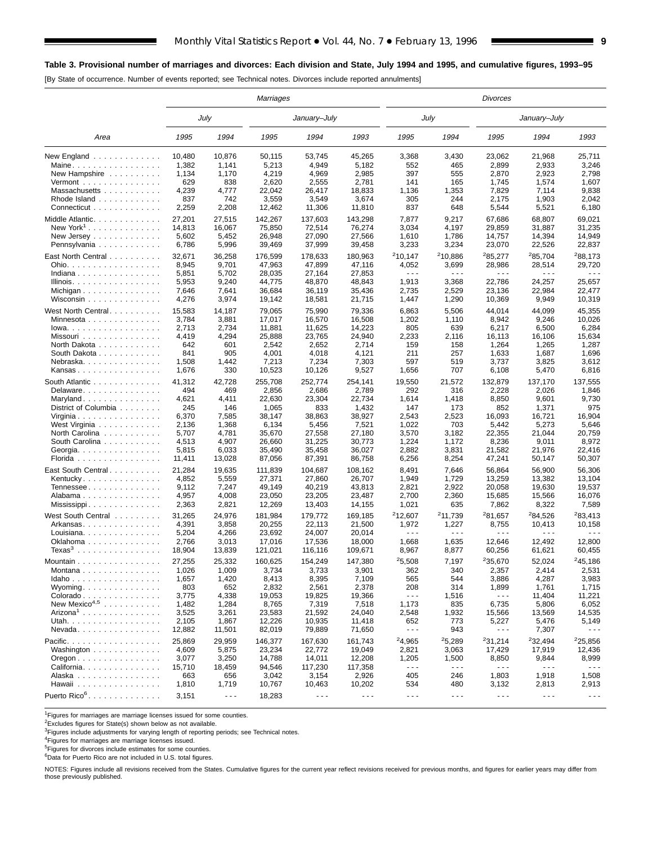## **Table 3. Provisional number of marriages and divorces: Each division and State, July 1994 and 1995, and cumulative figures, 1993–95**

[By State of occurrence. Number of events reported; see Technical notes. Divorces include reported annulments]

|                             | Marriages    |                      |                  |                      |                      |                      | Divorces             |                      |                      |                      |  |  |  |
|-----------------------------|--------------|----------------------|------------------|----------------------|----------------------|----------------------|----------------------|----------------------|----------------------|----------------------|--|--|--|
|                             |              | July                 |                  | January-July         |                      |                      | July                 |                      | January–July         |                      |  |  |  |
| Area                        | 1995         | 1994                 | 1995             | 1994                 | 1993                 | 1995                 | 1994                 | 1995                 | 1994                 | 1993                 |  |  |  |
| New England                 | 10,480       | 10,876               | 50,115           | 53,745               | 45,265               | 3,368                | 3,430                | 23,062               | 21,968               | 25,711               |  |  |  |
| Maine                       | 1,382        | 1,141                | 5,213            | 4,949                | 5,182                | 552                  | 465                  | 2,899                | 2,933                | 3,246                |  |  |  |
| New Hampshire               | 1,134        | 1,170                | 4,219            | 4,969                | 2,985                | 397                  | 555                  | 2,870                | 2,923                | 2,798                |  |  |  |
| $Vermont$                   | 629          | 838                  | 2,620            | 2,555                | 2,781                | 141                  | 165                  | 1,745                | 1,574                | 1,607                |  |  |  |
| Massachusetts               | 4,239<br>837 | 4,777<br>742         | 22,042<br>3,559  | 26,417<br>3,549      | 18,833<br>3,674      | 1,136<br>305         | 1,353<br>244         | 7,829<br>2,175       | 7,114<br>1,903       | 9,838<br>2,042       |  |  |  |
| Rhode Island<br>Connecticut | 2,259        | 2,208                |                  |                      |                      | 837                  | 648                  |                      |                      |                      |  |  |  |
|                             |              |                      | 12,462           | 11,306               | 11,810               |                      |                      | 5,544                | 5,521                | 6,180                |  |  |  |
| Middle Atlantic.            | 27,201       | 27,515               | 142,267          | 137,603              | 143,298              | 7,877                | 9,217                | 67,686               | 68,807               | 69,021               |  |  |  |
| New York <sup>1</sup><br>.  | 14,813       | 16,067               | 75,850           | 72,514               | 76,274               | 3,034                | 4,197                | 29,859               | 31,887               | 31,235               |  |  |  |
| New Jersey                  | 5,602        | 5,452                | 26,948           | 27,090               | 27,566               | 1,610                | 1,786                | 14,757               | 14,394               | 14,949               |  |  |  |
| Pennsylvania                | 6,786        | 5,996                | 39,469           | 37,999               | 39,458               | 3,233                | 3,234                | 23,070               | 22,526               | 22,837               |  |  |  |
| East North Central          | 32,671       | 36,258               | 176,599          | 178,633              | 180,963              | 210,147              | <sup>2</sup> 10,886  | <sup>2</sup> 85,277  | <sup>2</sup> 85,704  | <sup>2</sup> 88,173  |  |  |  |
| Ohio.                       | 8,945        | 9,701                | 47,963           | 47,899               | 47,116               | 4,052                | 3,699                | 28,986               | 28,514               | 29,720               |  |  |  |
| Indiana                     | 5,851        | 5,702                | 28,035           | 27,164               | 27,853               | $\sim$ $\sim$ $\sim$ | .                    | - - -                | $\sim$ $\sim$ $\sim$ | - - -                |  |  |  |
| Illinois.                   | 5,953        | 9,240                | 44,775           | 48,870               | 48,843               | 1,913                | 3,368                | 22,786               | 24,257               | 25,657               |  |  |  |
| Michigan                    | 7,646        | 7,641                | 36,684           | 36,119               | 35,436               | 2,735                | 2,529                | 23,136               | 22,984               | 22,477               |  |  |  |
| Wisconsin                   | 4,276        | 3,974                | 19,142           | 18,581               | 21,715               | 1,447                | 1,290                | 10,369               | 9,949                | 10,319               |  |  |  |
| West North Central          | 15,583       | 14,187               | 79,065           | 75,990               | 79,336               | 6,863                | 5,506                | 44,014               | 44,099               | 45,355               |  |  |  |
| Minnesota                   | 3,784        | 3,881                | 17,017           | 16,570               | 16,508               | 1,202                | 1,110                | 8,942                | 9,246                | 10,026               |  |  |  |
| $Iowa.$                     | 2,713        | 2,734                | 11,881           | 11,625               | 14,223               | 805                  | 639                  | 6,217                | 6,500                | 6,284                |  |  |  |
| Missouri                    | 4,419        | 4,294                | 25,888           | 23,765               | 24,940               | 2,233                | 2,116                | 16,113               | 16,106               | 15,634               |  |  |  |
| North Dakota                | 642          | 601                  | 2,542            | 2,652                | 2,714                | 159                  | 158                  | 1,264                | 1,265                | 1,287                |  |  |  |
| South Dakota                | 841          | 905                  | 4,001            | 4,018                | 4,121                | 211                  | 257                  | 1,633                | 1,687                | 1,696                |  |  |  |
| Nebraska                    | 1,508        | 1,442                | 7,213            | 7,234                | 7,303                | 597                  | 519                  | 3,737                | 3,825                | 3,612                |  |  |  |
| Kansas                      | 1,676        | 330                  | 10,523           | 10,126               | 9,527                | 1,656                | 707                  | 6,108                | 5,470                | 6,816                |  |  |  |
| South Atlantic              | 41,312       | 42,728               | 255,708          | 252,774              | 254,141              | 19,550               | 21,572               | 132,879              | 137,170              | 137,555              |  |  |  |
| Delaware                    | 494          | 469                  | 2,856            | 2,686                | 2,789                | 292                  | 316                  | 2,228                | 2,026                | 1,846                |  |  |  |
| Maryland                    | 4,621        | 4,411                | 22,630           | 23,304               | 22,734               | 1,614                | 1,418                | 8,850                | 9,601                | 9,730                |  |  |  |
| District of Columbia        | 245          | 146                  | 1,065            | 833                  | 1,432                | 147                  | 173                  | 852                  | 1,371                | 975                  |  |  |  |
| Virginia                    | 6,370        | 7,585                | 38,147           | 38,863               | 38,927               | 2,543                | 2,523                | 16,093               | 16,721               | 16,904               |  |  |  |
| West Virginia               | 2,136        | 1,368                | 6,134            | 5,456                | 7,521                | 1,022                | 703                  | 5,442                | 5,273                | 5,646                |  |  |  |
| North Carolina              | 5,707        | 4,781                | 35,670           | 27,558               | 27,180               | 3,570                | 3,182                | 22,355               | 21,044               | 20,759               |  |  |  |
| South Carolina              | 4,513        | 4,907                | 26,660           | 31,225               | 30,773               | 1,224                | 1,172                | 8,236                | 9,011                | 8,972                |  |  |  |
| Georgia                     | 5,815        | 6,033                | 35,490           | 35,458               | 36,027               | 2,882                | 3,831                | 21,582               | 21,976               | 22,416               |  |  |  |
| Florida                     | 11,411       | 13,028               | 87,056           | 87,391               | 86,758               | 6,256                | 8,254                | 47,241               | 50,147               | 50,307               |  |  |  |
|                             | 21,284       | 19,635               |                  |                      |                      |                      |                      |                      |                      |                      |  |  |  |
| East South Central          | 4,852        | 5,559                | 111,839          | 104,687<br>27,860    | 108,162<br>26,707    | 8,491<br>1,949       | 7,646<br>1,729       | 56,864<br>13,259     | 56,900<br>13,382     | 56,306<br>13,104     |  |  |  |
| Kentucky                    | 9,112        | 7,247                | 27,371<br>49,149 | 40,219               | 43,813               | 2,821                | 2,922                | 20,058               | 19,630               | 19,537               |  |  |  |
| Tennessee<br>Alabama        | 4,957        | 4,008                | 23,050           | 23,205               | 23,487               | 2,700                | 2,360                | 15,685               | 15,566               | 16,076               |  |  |  |
| Mississippi                 | 2,363        | 2,821                | 12,269           | 13,403               | 14,155               | 1,021                | 635                  | 7,862                | 8,322                | 7,589                |  |  |  |
|                             |              |                      |                  |                      |                      |                      |                      |                      |                      |                      |  |  |  |
| West South Central          | 31,265       | 24,976               | 181,984          | 179,772              | 169,185              | 212.607              | <sup>2</sup> 11,739  | 281,657              | <sup>2</sup> 84,526  | <sup>2</sup> 83.413  |  |  |  |
| Arkansas                    | 4,391        | 3,858                | 20,255           | 22,113               | 21,500               | 1,972                | 1,227                | 8,755                | 10,413               | 10,158               |  |  |  |
| Louisiana.                  | 5,204        | 4,266                | 23,692           | 24,007               | 20,014               | .                    | .                    | .                    | $\sim$ $\sim$ $\sim$ | .                    |  |  |  |
| Oklahoma                    | 2,766        | 3,013                | 17,016           | 17,536               | 18,000               | 1,668                | 1,635                | 12,646               | 12,492               | 12,800               |  |  |  |
| Texas <sup>3</sup>          | 18,904       | 13,839               | 121,021          | 116,116              | 109,671              | 8,967                | 8,877                | 60,256               | 61,621               | 60,455               |  |  |  |
| Mountain                    | 27,255       | 25,332               | 160,625          | 154,249              | 147,380              | 25,508               | 7,197                | 235,670              | 52,024               | <sup>2</sup> 45,186  |  |  |  |
| Montana                     | 1,026        | 1,009                | 3,734            | 3,733                | 3,901                | 362                  | 340                  | 2,357                | 2,414                | 2,531                |  |  |  |
| Idaho                       | 1,657        | 1,420                | 8,413            | 8,395                | 7,109                | 565                  | 544                  | 3,886                | 4,287                | 3,983                |  |  |  |
| Wyoming                     | 803          | 652                  | 2,832            | 2,561                | 2,378                | 208                  | 314                  | 1,899                | 1,761                | 1,715                |  |  |  |
| Colorado                    | 3,775        | 4,338                | 19,053           | 19,825               | 19,366               | $\sim$ $\sim$ $\sim$ | 1,516                | $\sim$ $\sim$ $\sim$ | 11,404               | 11,221               |  |  |  |
| New Mexico <sup>4,5</sup>   | 1,482        | 1,284                | 8,765            | 7,319                | 7,518                | 1,173                | 835                  | 6,735                | 5,806                | 6,052                |  |  |  |
| $Arizona1$                  | 3,525        | 3,261                | 23,583           | 21,592               | 24,040               | 2,548                | 1,932                | 15,566               | 13,569               | 14,535               |  |  |  |
| Utah.                       | 2,105        | 1,867                | 12,226           | 10,935               | 11,418               | 652                  | 773                  | 5,227                | 5,476                | 5,149                |  |  |  |
| $N$ evada                   | 12,882       | 11,501               | 82,019           | 79,889               | 71,650               | $\sim$ $\sim$ $\sim$ | 943                  | - - -                | 7,307                |                      |  |  |  |
| Pacific.                    | 25,869       | 29,959               | 146,377          | 167,630              | 161,743              | <sup>2</sup> 4,965   | 25,289               | 231,214              | 232,494              | 225,856              |  |  |  |
| Washington                  | 4,609        | 5,875                | 23,234           | 22,772               | 19,049               | 2,821                | 3,063                | 17,429               | 17,919               | 12,436               |  |  |  |
| $O$ regon                   | 3,077        | 3,250                | 14,788           | 14,011               | 12,208               | 1,205                | 1,500                | 8,850                | 9,844                | 8,999                |  |  |  |
| California                  | 15,710       | 18,459               | 94,546           | 117,230              | 117,358              | $\sim$ $\sim$ $\sim$ | $- - -$              | $\sim$ $\sim$ $\sim$ | $\sim$ $\sim$ $\sim$ | $- - -$              |  |  |  |
| Alaska                      | 663          | 656                  | 3,042            | 3,154                | 2,926                | 405                  | 246                  | 1,803                | 1,918                | 1,508                |  |  |  |
| Hawaii                      | 1,810        | 1,719                | 10,767           | 10,463               | 10,202               | 534                  | 480                  | 3,132                | 2,813                | 2,913                |  |  |  |
| Puerto Rico <sup>6</sup> .  | 3,151        | $\sim$ $\sim$ $\sim$ | 18,283           | $\sim$ $\sim$ $\sim$ | $\sim$ $\sim$ $\sim$ | $\sim$ $\sim$ $\sim$ | $\sim$ $\sim$ $\sim$ | $\sim$ $\sim$ $\sim$ | $\sim$ $\sim$ $\sim$ | $\sim$ $\sim$ $\sim$ |  |  |  |

 $1$ Figures for marriages are marriage licenses issued for some counties.

 $2$ Excludes figures for State(s) shown below as not available.

3Figures include adjustments for varying length of reporting periods; see Technical notes.

<sup>4</sup>Figures for marriages are marriage licenses issued.<br><sup>5</sup>Figures for divorces include estimates for some counties.

<sup>6</sup>Data for Puerto Rico are not included in U.S. total figures.

NOTES: Figures include all revisions received from the States. Cumulative figures for the current year reflect revisions received for previous months, and figures for earlier years may differ from those previously published.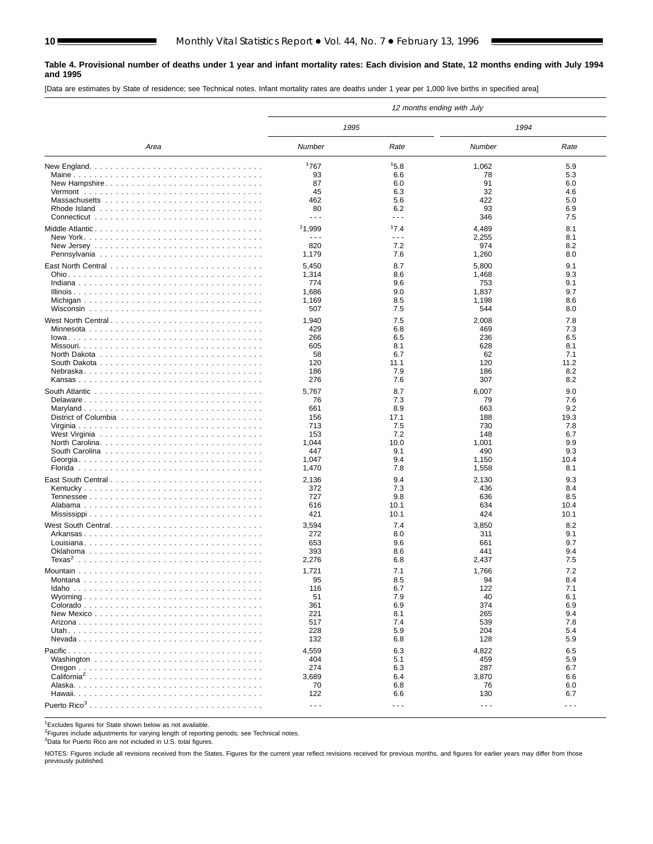#### **Table 4. Provisional number of deaths under 1 year and infant mortality rates: Each division and State, 12 months ending with July 1994 and 1995**

[Data are estimates by State of residence; see Technical notes. Infant mortality rates are deaths under 1 year per 1,000 live births in specified area]

|                                                                                      |                      |                      | 12 months ending with July |            |
|--------------------------------------------------------------------------------------|----------------------|----------------------|----------------------------|------------|
|                                                                                      | 1995                 |                      | 1994                       |            |
| Area                                                                                 | <b>Number</b>        | Rate                 | Number                     | Rate       |
|                                                                                      | 1767                 | 15.8                 | 1,062                      | 5.9        |
|                                                                                      | 93                   | 6.6                  | 78                         | 5.3        |
|                                                                                      | 87                   | 6.0                  | 91                         | 6.0        |
|                                                                                      | 45                   | 6.3                  | 32                         | 4.6        |
|                                                                                      | 462                  | 5.6                  | 422                        | 5.0        |
|                                                                                      | 80                   | 6.2                  | 93                         | 6.9        |
|                                                                                      | $\sim$ $\sim$ $\sim$ | $\sim$ $\sim$ $\sim$ | 346                        | 7.5        |
| Middle Atlantic                                                                      | 11,999               | 17.4                 | 4,489                      | 8.1        |
|                                                                                      | $\sim$ $\sim$ $\sim$ | $\sim$ $\sim$ $\sim$ | 2,255                      | 8.1        |
|                                                                                      | 820                  | 7.2                  | 974                        | 8.2        |
|                                                                                      | 1,179                | 7.6                  | 1,260                      | 8.0        |
|                                                                                      | 5,450                | 8.7                  | 5,800                      | 9.1        |
|                                                                                      | 1,314                | 8.6                  | 1,468                      | 9.3        |
|                                                                                      | 774                  | 9.6                  | 753                        | 9.1        |
|                                                                                      | 1,686                | 9.0                  | 1,837                      | 9.7        |
|                                                                                      | 1,169                | 8.5                  | 1,198                      | 8.6        |
|                                                                                      | 507                  | 7.5                  | 544                        | 8.0        |
|                                                                                      |                      |                      |                            |            |
|                                                                                      | 1,940<br>429         | 7.5<br>6.8           | 2,008                      | 7.8<br>7.3 |
|                                                                                      | 266                  | 6.5                  | 469<br>236                 | 6.5        |
|                                                                                      | 605                  | 8.1                  | 628                        | 8.1        |
| North Dakota $\ldots \ldots \ldots \ldots \ldots \ldots \ldots \ldots \ldots \ldots$ | 58                   | 6.7                  | 62                         | 7.1        |
|                                                                                      | 120                  | 11.1                 | 120                        | 11.2       |
|                                                                                      | 186                  | 7.9                  | 186                        | 8.2        |
|                                                                                      | 276                  | 7.6                  | 307                        | 8.2        |
|                                                                                      |                      |                      |                            |            |
|                                                                                      | 5,767<br>76          | 8.7<br>7.3           | 6,007<br>79                | 9.0<br>7.6 |
|                                                                                      | 661                  | 8.9                  | 663                        | 9.2        |
|                                                                                      | 156                  | 17.1                 | 188                        | 19.3       |
|                                                                                      | 713                  | 7.5                  | 730                        | 7.8        |
|                                                                                      | 153                  | 7.2                  | 148                        | 6.7        |
| North Carolina                                                                       | 1,044                | 10.0                 | 1,001                      | 9.9        |
|                                                                                      | 447                  | 9.1                  | 490                        | 9.3        |
|                                                                                      | 1,047                | 9.4                  | 1,150                      | 10.4       |
|                                                                                      | 1,470                | 7.8                  | 1,558                      | 8.1        |
|                                                                                      | 2,136                | 9.4                  | 2,130                      | 9.3        |
|                                                                                      | 372                  | 7.3                  | 436                        | 8.4        |
|                                                                                      | 727                  | 9.8                  | 636                        | 8.5        |
|                                                                                      | 616                  | 10.1                 | 634                        | 10.4       |
|                                                                                      | 421                  | 10.1                 | 424                        | 10.1       |
| West South Central                                                                   | 3,594                | 7.4                  | 3,850                      | 8.2        |
|                                                                                      | 272                  | 8.0                  | 311                        | 9.1        |
|                                                                                      | 653                  | 9.6                  | 661                        | 9.7        |
|                                                                                      | 393                  | 8.6                  | 441                        | 9.4        |
|                                                                                      | 2,276                | 6.8                  | 2,437                      | 7.5        |
|                                                                                      | 1,721                | 7.1                  | 1,766                      | 7.2        |
|                                                                                      | 95                   | 8.5                  | 94                         | 8.4        |
|                                                                                      | 116                  | 6.7                  | 122                        | 7.1        |
|                                                                                      | 51                   | 7.9                  | 40                         | 6.1        |
|                                                                                      | 361                  | 6.9                  | 374                        | 6.9        |
|                                                                                      | 221                  | 8.1                  | 265                        | 9.4        |
|                                                                                      | 517                  | 7.4                  | 539                        | 7.8        |
|                                                                                      | 228                  | 5.9                  | 204                        | 5.4        |
|                                                                                      | 132                  | 6.8                  | 128                        | 5.9        |
|                                                                                      | 4,559                | 6.3                  | 4,822                      | 6.5        |
|                                                                                      | 404                  | 5.1                  | 459                        | 5.9        |
|                                                                                      | 274                  | 6.3                  | 287                        | 6.7        |
| California <sup>2</sup>                                                              | 3,689                | 6.4                  | 3,870                      | 6.6        |
|                                                                                      | 70                   | 6.8                  | 76                         | 6.0        |
|                                                                                      | 122                  | 6.6                  | 130                        | 6.7        |
|                                                                                      | $\sim$ $\sim$ $\sim$ | $\sim$ $\sim$ $\sim$ | $\sim$ $\sim$ $\sim$       | $- - -$    |
|                                                                                      |                      |                      |                            |            |

 $\frac{1}{2}$ Excludes figures for State shown below as not available.

2Figures include adjustments for varying length of reporting periods; see Technical notes.

3Data for Puerto Rico are not included in U.S. total figures.

NOTES: Figures include all revisions received from the States. Figures for the current year reflect revisions received for previous months, and figures for earlier years may differ from those previously published.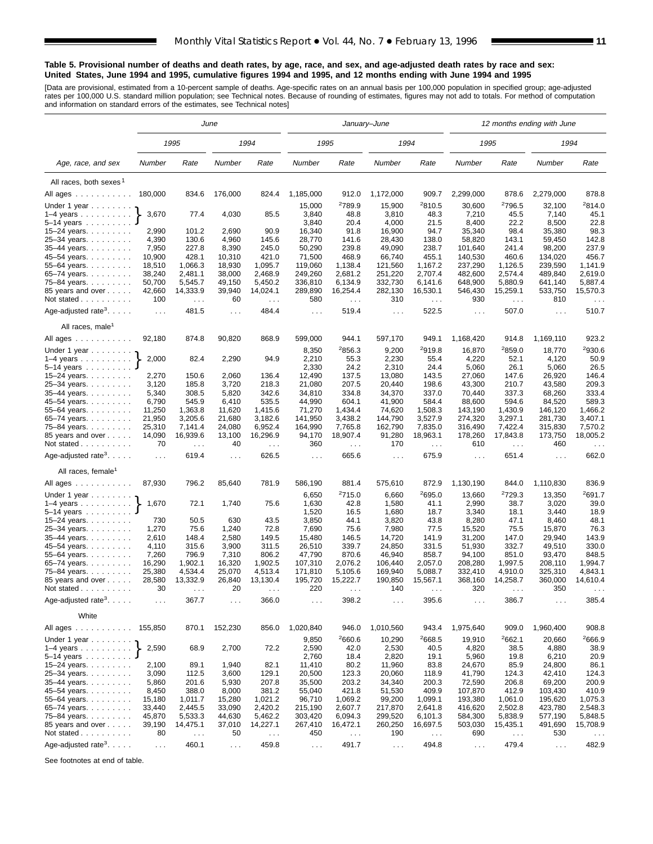#### **Table 5. Provisional number of deaths and death rates, by age, race, and sex, and age-adjusted death rates by race and sex: United States, June 1994 and 1995, cumulative figures 1994 and 1995, and 12 months ending with June 1994 and 1995**

[Data are provisional, estimated from a 10-percent sample of deaths. Age-specific rates on an annual basis per 100,000 population in specified group; age-adjusted<br>rates per 100,000 U.S. standard million population; see Tec

|                                                                    |                            |                                  | June           |                           |                               |                    | January–June    |                                  | 12 months ending with June  |                    |                             |                                  |
|--------------------------------------------------------------------|----------------------------|----------------------------------|----------------|---------------------------|-------------------------------|--------------------|-----------------|----------------------------------|-----------------------------|--------------------|-----------------------------|----------------------------------|
|                                                                    |                            | 1995                             |                | 1994                      | 1995                          |                    | 1994            |                                  | 1995                        |                    | 1994                        |                                  |
| Age, race, and sex                                                 | Number                     | Rate                             | Number         | Rate                      | Number                        | Rate               | Number          | Rate                             | Number                      | Rate               | Number                      | Rate                             |
| All races, both sexes <sup>1</sup>                                 |                            |                                  |                |                           |                               |                    |                 |                                  |                             |                    |                             |                                  |
| All ages                                                           | 180,000                    | 834.6                            | 176,000        | 824.4                     | 1,185,000                     | 912.0              | 1,172,000       | 909.7                            | 2,299,000                   | 878.6              | 2,279,000                   | 878.8                            |
| Under 1 year                                                       |                            |                                  |                |                           | 15,000                        | <sup>2</sup> 789.9 | 15,900          | 2810.5                           | 30,600                      | <sup>2</sup> 796.5 | 32,100                      | 2814.0                           |
| $1-4$ years                                                        | 3,670                      | 77.4                             | 4,030          | 85.5                      | 3,840                         | 48.8               | 3,810           | 48.3                             | 7,210                       | 45.5               | 7,140                       | 45.1                             |
| 5–14 years                                                         |                            |                                  |                |                           | 3,840                         | 20.4               | 4,000           | 21.5                             | 8,400                       | 22.2               | 8,500                       | 22.8                             |
| 15-24 years.                                                       | 2,990                      | 101.2                            | 2,690          | 90.9                      | 16,340                        | 91.8               | 16,900          | 94.7                             | 35,340                      | 98.4               | 35,380                      | 98.3                             |
| 25-34 years.                                                       | 4,390                      | 130.6                            | 4,960          | 145.6                     | 28,770                        | 141.6              | 28,430          | 138.0                            | 58,820                      | 143.1              | 59,450                      | 142.8                            |
| 35–44 years.                                                       | 7,950                      | 227.8                            | 8,390          | 245.0                     | 50,290                        | 239.8              | 49,090          | 238.7                            | 101,640                     | 241.4              | 98,200                      | 237.9                            |
| 45–54 years.                                                       | 10,900                     | 428.1                            | 10,310         | 421.0                     | 71,500                        | 468.9              | 66,740          | 455.1                            | 140,530                     | 460.6              | 134,020                     | 456.7                            |
| 55-64 years.                                                       | 18,510                     | 1,066.3                          | 18,930         | 1,095.7                   | 119,060                       | 1,138.4            | 121,560         | 1,167.2                          | 237,290                     | 1,126.5            | 239,590                     | 1,141.9                          |
| 65–74 years.                                                       | 38,240                     | 2,481.1                          | 38,000         | 2,468.9                   | 249,260                       | 2,681.2            | 251,220         | 2,707.4                          | 482,600                     | 2,574.4            | 489,840                     | 2,619.0                          |
| 75–84 years.                                                       | 50,700                     | 5,545.7                          | 49,150         | 5,450.2                   | 336,810                       | 6,134.9            | 332,730         | 6,141.6                          | 648,900                     | 5,880.9            | 641,140                     | 5,887.4                          |
| 85 years and over                                                  | 42,660                     | 14,333.9                         | 39,940         | 14,024.1                  | 289,890                       | 16,254.4           | 282,130         | 16,530.1                         | 546,430                     | 15,259.1           | 533,750                     | 15,570.3                         |
| Not stated                                                         | 100                        | $\sim$ $\sim$                    | 60             | $\sim$ $\sim$             | 580                           | $\sim$ $\sim$      | 310             | $\sim$ $\sim$                    | 930                         | $\sim$             | 810                         | $\sim$ $\sim$ $\sim$             |
| Age-adjusted rate <sup>3</sup> . $\ldots$ .                        | $\ldots$                   | 481.5                            | $\ldots$       | 484.4                     | $\sim 100$                    | 519.4              | $\ldots$        | 522.5                            | $\sim 100$                  | 507.0              | $\sim 100$                  | 510.7                            |
| All races, male <sup>1</sup>                                       |                            |                                  |                |                           |                               |                    |                 |                                  |                             |                    |                             |                                  |
| All ages ...........                                               | 92,180                     | 874.8                            | 90,820         | 868.9                     | 599,000                       | 944.1              | 597,170         | 949.1<br>2919.8                  | 1,168,420                   | 914.8<br>2859.0    | 1,169,110                   | 923.2<br><sup>2</sup> 930.6      |
| Under 1 year $\ldots \ldots$                                       | 2,000                      | 82.4                             | 2,290          | 94.9                      | 8,350<br>2,210                | 2856.3<br>55.3     | 9,200<br>2,230  | 55.4                             | 16,870<br>4,220             | 52.1               | 18,770<br>4,120             | 50.9                             |
| $1-4$ years<br>5-14 years                                          |                            |                                  |                |                           | 2,330                         | 24.2               | 2,310           | 24.4                             | 5,060                       | 26.1               | 5,060                       | 26.5                             |
| 15–24 years.                                                       | 2,270                      | 150.6                            | 2,060          | 136.4                     | 12,490                        | 137.5              | 13,080          | 143.5                            | 27,060                      | 147.6              | 26,920                      | 146.4                            |
| 25–34 years.                                                       | 3,120                      | 185.8                            | 3,720          | 218.3                     | 21,080                        | 207.5              | 20,440          | 198.6                            | 43,300                      | 210.7              | 43,580                      | 209.3                            |
| 35–44 years.                                                       | 5,340                      | 308.5                            | 5,820          | 342.6                     | 34,810                        | 334.8              | 34,370          | 337.0                            | 70,440                      | 337.3              | 68,260                      | 333.4                            |
| 45–54 years.                                                       | 6,790                      | 545.9                            | 6,410          | 535.5                     | 44,990                        | 604.1              | 41,900          | 584.4                            | 88,600                      | 594.6              | 84,520                      | 589.3                            |
| 55-64 years.                                                       | 11,250                     | 1,363.8                          | 11,620         | 1,415.6                   | 71,270                        | 1,434.4            | 74,620          | 1,508.3                          | 143,190                     | 1,430.9            | 146,120                     | 1,466.2                          |
| 65–74 years.                                                       | 21,950                     | 3,205.6                          | 21,680         | 3,182.6                   | 141,950                       | 3,438.2            | 144,790         | 3,527.9                          | 274,320                     | 3,297.1            | 281,730                     | 3,407.1                          |
| 75–84 years.                                                       | 25,310                     | 7,141.4                          | 24,080         | 6,952.4                   | 164,990                       | 7,765.8            | 162,790         | 7,835.0                          | 316,490                     | 7,422.4            | 315,830                     | 7,570.2                          |
| 85 years and over<br>Not stated                                    | 14,090<br>70               | 16,939.6<br>$\sim$ $\sim$ $\sim$ | 13,100<br>40   | 16,296.9<br>$\sim$ $\sim$ | 94,170<br>360                 | 18,907.4<br>$\sim$ | 91,280<br>170   | 18,963.1<br>$\sim$ $\sim$ $\sim$ | 178,260<br>610              | 17,843.8<br>$\sim$ | 173,750<br>460              | 18,005.2<br>$\sim$ $\sim$ $\sim$ |
| Age-adjusted rate <sup>3</sup> .                                   | $\ldots$                   | 619.4                            | $\ldots$       | 626.5                     | $\cdots$                      | 665.6              | $\ldots$        | 675.9                            | $\ldots$                    | 651.4              | $\sim 100$                  | 662.0                            |
| All races, female <sup>1</sup>                                     |                            |                                  |                |                           |                               |                    |                 |                                  |                             |                    |                             |                                  |
| All ages ..........                                                | 87,930                     | 796.2                            | 85,640         | 781.9                     | 586,190                       | 881.4              | 575,610         | 872.9                            | 1,130,190                   | 844.0              | 1,110,830                   | 836.9                            |
| Under 1 year                                                       |                            |                                  |                |                           | 6,650                         | 2715.0             | 6,660           | 2695.0                           | 13,660                      | 2729.3             | 13,350                      | 2691.7                           |
| $1-4$ years $\ldots$                                               | 1,670                      | 72.1                             | 1,740          | 75.6                      | 1,630                         | 42.8               | 1,580           | 41.1                             | 2,990                       | 38.7               | 3,020                       | 39.0                             |
| 5–14 years                                                         |                            |                                  |                |                           | 1,520                         | 16.5               | 1,680           | 18.7                             | 3,340                       | 18.1               | 3,440                       | 18.9                             |
| 15-24 years.                                                       | 730                        | 50.5                             | 630            | 43.5                      | 3,850                         | 44.1               | 3,820           | 43.8                             | 8,280                       | 47.1               | 8,460                       | 48.1                             |
| 25–34 years.                                                       | 1,270                      | 75.6                             | 1,240          | 72.8                      | 7,690                         | 75.6               | 7,980           | 77.5                             | 15,520                      | 75.5               | 15,870                      | 76.3                             |
| 35–44 years.                                                       | 2,610                      | 148.4                            | 2,580          | 149.5                     | 15,480                        | 146.5              | 14,720          | 141.9                            | 31,200                      | 147.0              | 29,940                      | 143.9                            |
| 45–54 years.                                                       | 4,110                      | 315.6                            | 3,900          | 311.5                     | 26,510                        | 339.7              | 24,850          | 331.5                            | 51,930                      | 332.7              | 49,510                      | 330.0                            |
| 55–64 years.                                                       | 7,260                      | 796.9                            | 7,310          | 806.2                     | 47,790                        | 870.6              | 46,940          | 858.7                            | 94,100                      | 851.0              | 93,470                      | 848.5                            |
| 65-74 years.                                                       | 16,290                     | 1,902.1                          | 16,320         | 1,902.5                   | 107,310                       | 2,076.2            | 106,440         | 2,057.0                          | 208,280                     | 1,997.5            | 208,110                     | 1,994.7                          |
| 75–84 years.                                                       | 25,380                     | 4.534.4                          | 25,070         | 4,513.4                   | 171,810                       | 5,105.6            | 169,940         | 5,088.7                          | 332,410                     | 4,910.0            | 325,310                     | 4,843.1                          |
| 85 years and over                                                  | 28,580                     | 13,332.9                         | 26,840         | 13,130.4                  | 195,720                       | 15,222.7           | 190,850         | 15,567.1                         | 368,160                     | 14,258.7           | 360,000                     | 14,610.4                         |
| Not stated $\ldots$<br>Age-adjusted rate <sup>3</sup> . $\ldots$ . | 30<br>$\sim$ $\sim$ $\sim$ | 367.7                            | 20<br>$\sim$ . | 366.0                     | 220<br>.                      | 398.2              | 140<br>$\cdots$ | 395.6                            | 320<br>$\sim$ $\sim$ $\sim$ | 386.7              | 350<br>$\sim$ $\sim$ $\sim$ | 385.4                            |
| White                                                              |                            |                                  |                |                           |                               |                    |                 |                                  |                             |                    |                             |                                  |
| All ages                                                           | 155,850                    | 870.1                            | 152,230        | 856.0                     | 1,020,840                     | 946.0              | 1,010,560       | 943.4                            | 1,975,640                   | 909.0              | 1,960,400                   | 908.8                            |
| Under 1 year $\ldots \ldots$                                       |                            |                                  |                |                           | 9,850                         | <sup>2</sup> 660.6 | 10,290          | <sup>2</sup> 668.5               | 19,910                      | 2662.1             | 20,660                      | <sup>2</sup> 666.9               |
| $1-4$ years<br>5–14 years                                          | 2,590                      | 68.9                             | 2,700          | 72.2                      | 2,590                         | 42.0<br>18.4       | 2,530           | 40.5<br>19.1                     | 4,820                       | 38.5<br>19.8       | 4,880                       | 38.9<br>20.9                     |
| 15–24 years. $\ldots$                                              | 2,100                      | 89.1                             | 1,940          | 82.1                      | 2,760<br>11,410               | 80.2               | 2,820<br>11,960 | 83.8                             | 5,960<br>24,670             | 85.9               | 6,210<br>24,800             | 86.1                             |
| 25-34 years.                                                       | 3,090                      | 112.5                            | 3,600          | 129.1                     | 20,500                        | 123.3              | 20,060          | 118.9                            | 41,790                      | 124.3              | 42,410                      | 124.3                            |
| 35–44 years.                                                       | 5,860                      | 201.6                            | 5,930          | 207.8                     | 35,500                        | 203.2              | 34,340          | 200.3                            | 72,590                      | 206.8              | 69,200                      | 200.9                            |
| 45-54 years.                                                       | 8,450                      | 388.0                            | 8,000          | 381.2                     | 55,040                        | 421.8              | 51,530          | 409.9                            | 107,870                     | 412.9              | 103,430                     | 410.9                            |
| 55–64 years.                                                       | 15,180                     | 1,011.7                          | 15,280         | 1,021.2                   | 96,710                        | 1,069.2            | 99,200          | 1,099.1                          | 193,380                     | 1,061.0            | 195,620                     | 1,075.3                          |
| 65-74 years.                                                       | 33,440                     | 2,445.5                          | 33,090         | 2,420.2                   | 215,190                       | 2,607.7            | 217,870         | 2,641.8                          | 416,620                     | 2,502.8            | 423,780                     | 2,548.3                          |
| 75-84 years.                                                       | 45,870                     | 5,533.3                          | 44,630         | 5,462.2                   | 303,420                       | 6,094.3            | 299,520         | 6,101.3                          | 584,300                     | 5,838.9            | 577,190                     | 5,848.5                          |
| 85 years and over                                                  | 39,190                     | 14,475.1                         | 37,010         | 14,227.1                  | 267,410                       | 16,472.1           | 260,250         | 16,697.5                         | 503,030                     | 15,435.1           | 491,690                     | 15,708.9                         |
| Not stated                                                         | 80                         | $\sim$ $\sim$                    | 50             | $\sim$ $\sim$             | 450                           | $\sim$ .           | 190             | $\ldots$                         | 690                         | $\sim$ .           | 530                         | $\sim$ $\sim$                    |
| Age-adjusted rate <sup>3</sup> .                                   | $\sim$ $\sim$              | 460.1                            | $\sim$ $\sim$  | 459.8                     | $\epsilon \rightarrow \infty$ | 491.7              | $\sim 100$      | 494.8                            | $\mathcal{L}^{\mathcal{L}}$ | 479.4              | $\sim$ $\sim$               | 482.9                            |

See footnotes at end of table.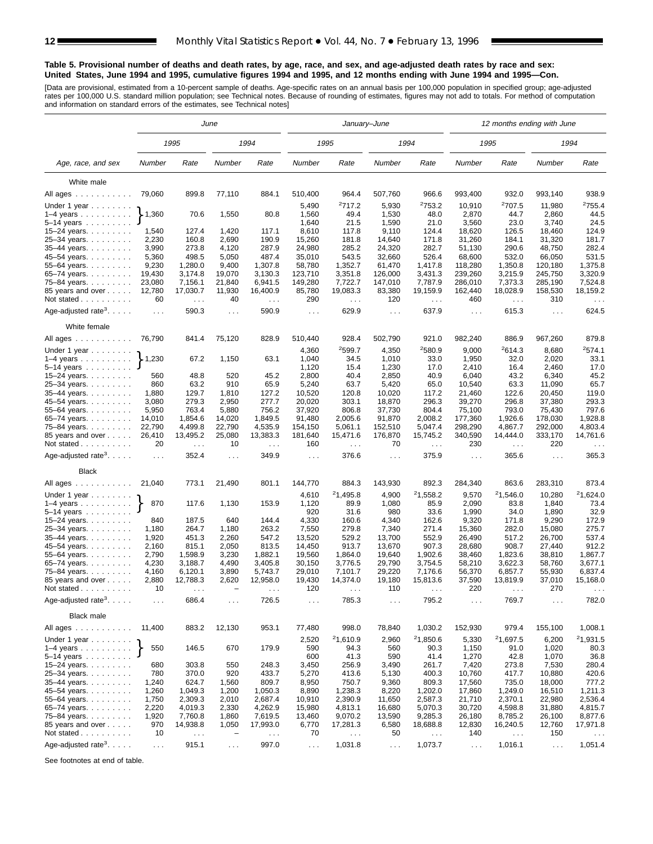#### **Table 5. Provisional number of deaths and death rates, by age, race, and sex, and age-adjusted death rates by race and sex: United States, June 1994 and 1995, cumulative figures 1994 and 1995, and 12 months ending with June 1994 and 1995—Con.**

[Data are provisional, estimated from a 10-percent sample of deaths. Age-specific rates on an annual basis per 100,000 population in specified group; age-adjusted<br>rates per 100,000 U.S. standard million population; see Tec

|                                                                                                                |                             |                        | June                     |                               |                      | January-June           |                      |                        |                  | 12 months ending with June       |                  |                      |
|----------------------------------------------------------------------------------------------------------------|-----------------------------|------------------------|--------------------------|-------------------------------|----------------------|------------------------|----------------------|------------------------|------------------|----------------------------------|------------------|----------------------|
|                                                                                                                |                             | 1995                   |                          | 1994                          |                      | 1995                   |                      | 1994                   |                  | 1995                             |                  | 1994                 |
| Age, race, and sex                                                                                             | Number                      | Rate                   | Number                   | Rate                          | Number               | Rate                   | Number               | Rate                   | Number           | Rate                             | Number           | Rate                 |
| White male                                                                                                     |                             |                        |                          |                               |                      |                        |                      |                        |                  |                                  |                  |                      |
| All ages                                                                                                       | 79,060                      | 899.8                  | 77,110                   | 884.1                         | 510,400              | 964.4                  | 507,760              | 966.6                  | 993,400          | 932.0                            | 993,140          | 938.9                |
|                                                                                                                |                             |                        |                          |                               |                      | 2717.2                 |                      | 2753.2                 |                  | <sup>2</sup> 707.5               |                  | 2755.4               |
| Under 1 year                                                                                                   | $\blacktriangleright$ 1,360 | 70.6                   | 1,550                    | 80.8                          | 5,490<br>1,560       | 49.4                   | 5,930<br>1,530       | 48.0                   | 10,910<br>2,870  | 44.7                             | 11,980<br>2,860  | 44.5                 |
| $1-4$ years $\ldots$ $\ldots$ $\ldots$<br>5-14 years                                                           |                             |                        |                          |                               | 1,640                | 21.5                   | 1,590                | 21.0                   | 3,560            | 23.0                             | 3,740            | 24.5                 |
| 15-24 years.                                                                                                   | 1,540                       | 127.4                  | 1,420                    | 117.1                         | 8,610                | 117.8                  | 9,110                | 124.4                  | 18,620           | 126.5                            | 18,460           | 124.9                |
| 25-34 years.                                                                                                   | 2,230                       | 160.8                  | 2,690                    | 190.9                         | 15,260               | 181.8                  | 14,640               | 171.8                  | 31,260           | 184.1                            | 31,320           | 181.7                |
| 35-44 years.                                                                                                   | 3,990                       | 273.8                  | 4,120                    | 287.9                         | 24,980               | 285.2                  | 24,320               | 282.7                  | 51,130           | 290.6                            | 48,750           | 282.4                |
| 45-54 years.                                                                                                   | 5,360                       | 498.5                  | 5,050                    | 487.4                         | 35,010               | 543.5                  | 32,660               | 526.4                  | 68,600           | 532.0                            | 66,050           | 531.5                |
| 55–64 years. $\ldots$                                                                                          | 9,230                       | 1,280.0                | 9,400                    | 1,307.8                       | 58,780               | 1,352.7                | 61.470               | 1,417.8                | 118,280          | 1,350.8                          | 120.180          | 1.375.8              |
| 65–74 years. $\ldots$                                                                                          | 19,430                      | 3,174.8                | 19,070                   | 3,130.3                       | 123,710              | 3,351.8                | 126,000              | 3,431.3                | 239,260          | 3,215.9                          | 245,750          | 3,320.9              |
| 75-84 years.                                                                                                   | 23,080                      | 7,156.1                | 21,840                   | 6,941.5                       | 149,280              | 7,722.7                | 147,010              | 7,787.9                | 286,010          | 7,373.3                          | 285,190          | 7,524.8              |
| 85 years and over                                                                                              | 12,780                      | 17,030.7               | 11,930                   | 16,400.9                      | 85,780               | 19,083.3               | 83,380               | 19,159.9               | 162,440          | 18,028.9                         | 158,530          | 18,159.2             |
| Not stated                                                                                                     | 60                          | $\sim 10$              | 40                       | $\mathcal{L}^{\mathcal{L}}$   | 290                  | $\sim$ $\sim$          | 120                  | $\sim$ $\sim$ $\sim$   | 460              | $\sim$ $\sim$                    | 310              | $\ldots$             |
| Age-adjusted rate <sup>3</sup> . $\ldots$ .                                                                    | $\sim$ $\sim$ $\sim$        | 590.3                  | .                        | 590.9                         | $\sim$ $\sim$ $\sim$ | 629.9                  | $\sim$ $\sim$ $\sim$ | 637.9                  | $\sim 100$       | 615.3                            | $\cdots$         | 624.5                |
| White female                                                                                                   |                             |                        |                          |                               |                      |                        |                      |                        |                  |                                  |                  |                      |
| All ages                                                                                                       | 76,790                      | 841.4                  | 75,120                   | 828.9                         | 510,440              | 928.4                  | 502,790              | 921.0                  | 982,240          | 886.9                            | 967,260          | 879.8                |
| Under 1 year                                                                                                   |                             |                        |                          |                               | 4,360                | 2599.7                 | 4,350                | <sup>2</sup> 580.9     | 9,000            | 2614.3                           | 8,680            | 2574.1               |
| $1-4$ years                                                                                                    | 1,230                       | 67.2                   | 1,150                    | 63.1                          | 1,040                | 34.5                   | 1,010                | 33.0                   | 1,950            | 32.0                             | 2,020            | 33.1                 |
| $5-14$ years $\ldots$                                                                                          |                             |                        |                          |                               | 1,120                | 15.4                   | 1,230                | 17.0                   | 2,410            | 16.4                             | 2,460            | 17.0                 |
| 15–24 years. $\ldots$                                                                                          | 560<br>860                  | 48.8                   | 520<br>910               | 45.2                          | 2,800                | 40.4                   | 2,850                | 40.9<br>65.0           | 6,040            | 43.2                             | 6,340            | 45.2<br>65.7         |
| 25-34 years.<br>35-44 years.                                                                                   | 1,880                       | 63.2<br>129.7          | 1,810                    | 65.9<br>127.2                 | 5,240<br>10,520      | 63.7<br>120.8          | 5,420<br>10,020      | 117.2                  | 10,540<br>21,460 | 63.3<br>122.6                    | 11,090<br>20,450 | 119.0                |
| 45-54 years.                                                                                                   | 3,080                       | 279.3                  | 2,950                    | 277.7                         | 20,020               | 303.1                  | 18,870               | 296.3                  | 39,270           | 296.8                            | 37,380           | 293.3                |
| 55-64 years.                                                                                                   | 5,950                       | 763.4                  | 5,880                    | 756.2                         | 37,920               | 806.8                  | 37,730               | 804.4                  | 75,100           | 793.0                            | 75,430           | 797.6                |
| 65-74 years.                                                                                                   | 14,010                      | 1,854.6                | 14,020                   | 1,849.5                       | 91,480               | 2,005.6                | 91,870               | 2,008.2                | 177,360          | 1,926.6                          | 178,030          | 1,928.8              |
| 75-84 years.                                                                                                   | 22,790                      | 4,499.8                | 22,790                   | 4,535.9                       | 154,150              | 5,061.1                | 152,510              | 5,047.4                | 298,290          | 4,867.7                          | 292,000          | 4,803.4              |
| 85 years and over<br>Not stated                                                                                | 26,410<br>20                | 13,495.2<br>$\sim 100$ | 25,080<br>10             | 13,383.3<br>$\sim 100$        | 181,640<br>160       | 15,471.6<br>$\sim 100$ | 176,870<br>70        | 15,745.2<br>$\sim 100$ | 340,590<br>230   | 14,444.0<br>$\sim$ $\sim$ $\sim$ | 333,170<br>220   | 14,761.6<br>$\cdots$ |
| Age-adjusted rate <sup>3</sup> .                                                                               | $\sim$ $\sim$ $\sim$        | 352.4                  | .                        | 349.9                         | $\sim 100$           | 376.6                  | $\sim$ $\sim$ $\sim$ | 375.9                  | $\ldots$         | 365.6                            | $\sim 10$        | 365.3                |
| <b>Black</b>                                                                                                   |                             |                        |                          |                               |                      |                        |                      |                        |                  |                                  |                  |                      |
| All ages                                                                                                       | 21,040                      | 773.1                  | 21,490                   | 801.1                         | 144,770              | 884.3                  | 143,930              | 892.3                  | 284,340          | 863.6                            | 283,310          | 873.4                |
| Under 1 year $\ldots \ldots$                                                                                   |                             |                        |                          |                               | 4,610                | 21,495.8               | 4,900                | 21,558.2               | 9,570            | 21,546.0                         | 10,280           | 21,624.0             |
| $1-4$ years $\ldots$ $\ldots$ $\ldots$ .<br>$5 - 14$ years                                                     | 870                         | 117.6                  | 1,130                    | 153.9                         | 1,120<br>920         | 89.9<br>31.6           | 1,080<br>980         | 85.9<br>33.6           | 2,090<br>1,990   | 83.8<br>34.0                     | 1,840<br>1,890   | 73.4<br>32.9         |
| 15-24 years.                                                                                                   | 840                         | 187.5                  | 640                      | 144.4                         | 4,330                | 160.6                  | 4,340                | 162.6                  | 9,320            | 171.8                            | 9,290            | 172.9                |
| 25-34 years.                                                                                                   | 1,180                       | 264.7                  | 1,180                    | 263.2                         | 7,550                | 279.8                  | 7,340                | 271.4                  | 15,360           | 282.0                            | 15,080           | 275.7                |
| 35-44 years.                                                                                                   | 1,920                       | 451.3                  | 2,260                    | 547.2                         | 13,520               | 529.2                  | 13,700               | 552.9                  | 26,490           | 517.2                            | 26,700           | 537.4                |
| 45–54 years.                                                                                                   | 2,160                       | 815.1                  | 2,050                    | 813.5                         | 14,450               | 913.7                  | 13,670               | 907.3                  | 28,680           | 908.7                            | 27,440           | 912.2                |
| 55-64 years.                                                                                                   | 2,790                       | 1,598.9                | 3,230                    | 1,882.1                       | 19,560               | 1,864.0                | 19,640               | 1,902.6                | 38,460           | 1,823.6                          | 38,810           | 1,867.7              |
| 65-74 years.                                                                                                   | 4,230                       | 3,188.7                | 4,490                    | 3,405.8                       | 30,150               | 3,776.5                | 29,790               | 3,754.5                | 58,210           | 3,622.3                          | 58,760           | 3,677.1              |
| 75-84 years.                                                                                                   | 4,160                       | 6,120.1                | 3,890                    | 5,743.7                       | 29,010               | 7,101.7                | 29,220               | 7,176.6                | 56,370           | 6,857.7                          | 55,930           | 6,837.4              |
| 85 years and over<br>Not stated.                                                                               | 2,880<br>10                 | 12,788.3               | 2,620<br>$\equiv$        | 12,958.0                      | 19,430<br>120        | 14,374.0               | 19,180<br>110        | 15,813.6               | 37,590<br>220    | 13,819.9                         | 37,010<br>270    | 15,168.0             |
| $\alpha$ , $\alpha$ , $\alpha$ , $\alpha$ , $\alpha$ , $\alpha$ , $\alpha$<br>Age-adjusted rate <sup>3</sup> . | $\sim$ $\sim$ $\sim$        | 686.4                  | $\cdots$                 | 726.5                         | $\sim$ $\sim$ $\sim$ | 785.3                  | $\sim$ $\sim$        | 795.2                  | $\sim$ .         | 769.7                            | .                | 782.0                |
| <b>Black male</b>                                                                                              |                             |                        |                          |                               |                      |                        |                      |                        |                  |                                  |                  |                      |
| All ages                                                                                                       | 11,400                      | 883.2                  | 12,130                   | 953.1                         | 77,480               | 998.0                  | 78,840               | 1,030.2                | 152,930          | 979.4                            | 155,100          | 1,008.1              |
| Under 1 year                                                                                                   |                             |                        |                          |                               | 2,520                | 21,610.9               | 2,960                | <sup>2</sup> 1,850.6   | 5,330            | 21,697.5                         | 6,200            | 21,931.5             |
| 1–4 years $\ldots$ $\}$                                                                                        | 550                         | 146.5                  | 670                      | 179.9                         | 590                  | 94.3                   | 560                  | 90.3                   | 1,150            | 91.0                             | 1,020            | 80.3                 |
| $5 - 14$ years                                                                                                 |                             |                        |                          |                               | 600                  | 41.3                   | 590                  | 41.4                   | 1,270            | 42.8                             | 1,070            | 36.8                 |
| 15–24 years. $\ldots$                                                                                          | 680                         | 303.8                  | 550                      | 248.3                         | 3,450                | 256.9                  | 3,490                | 261.7                  | 7,420            | 273.8                            | 7,530            | 280.4                |
| 25-34 years                                                                                                    | 780                         | 370.0                  | 920                      | 433.7                         | 5,270                | 413.6                  | 5,130                | 400.3                  | 10,760           | 417.7                            | 10,880           | 420.6                |
| 35-44 years.                                                                                                   | 1,240                       | 624.7                  | 1,560                    | 809.7                         | 8,950                | 750.7                  | 9,360                | 809.3                  | 17,560           | 735.0                            | 18,000           | 777.2                |
| 45-54 years.                                                                                                   | 1,260                       | 1,049.3                | 1,200                    | 1,050.3                       | 8,890                | 1,238.3                | 8,220                | 1,202.0                | 17,860           | 1,249.0                          | 16,510           | 1,211.3              |
| 55–64 years.                                                                                                   | 1,750                       | 2,309.3                | 2,010                    | 2,687.4                       | 10,910               | 2,390.9                | 11,650               | 2,587.3                | 21,710           | 2,370.1                          | 22,980           | 2,536.4              |
| 65-74 years.                                                                                                   | 2,220                       | 4,019.3                | 2,330                    | 4,262.9                       | 15,980               | 4,813.1                | 16,680               | 5,070.3                | 30,720           | 4,598.8                          | 31,880           | 4,815.7              |
| 75-84 years.                                                                                                   | 1,920                       | 7,760.8                | 1,860                    | 7,619.5                       | 13,460               | 9,070.2                | 13,590               | 9,285.3                | 26,180           | 8,785.2                          | 26,100           | 8,877.6              |
| 85 years and over                                                                                              | 970                         | 14,938.8               | 1,050                    | 17,993.0                      | 6,770                | 17,281.3               | 6,580                | 18,688.8               | 12,830           | 16,240.5                         | 12,760           | 17,971.8             |
| Not stated                                                                                                     | 10                          | $\sim$ $\sim$          | $\overline{\phantom{0}}$ | $\epsilon \rightarrow \infty$ | 70                   | $\sim$ $\sim$          | 50                   | $\sim$ $\sim$          | 140              | $\sim$ $\sim$ $\sim$             | 150              | $\sim$ $\sim$ $\sim$ |
| Age-adjusted rate <sup>3</sup> .                                                                               | $\sim$ $\sim$               | 915.1                  | $\sim 100$               | 997.0                         | $\sim 100$           | 1,031.8                | $\sim$ $\sim$        | 1,073.7                | $\sim$ $\sim$    | 1,016.1                          | $\sim 100$       | 1,051.4              |

See footnotes at end of table.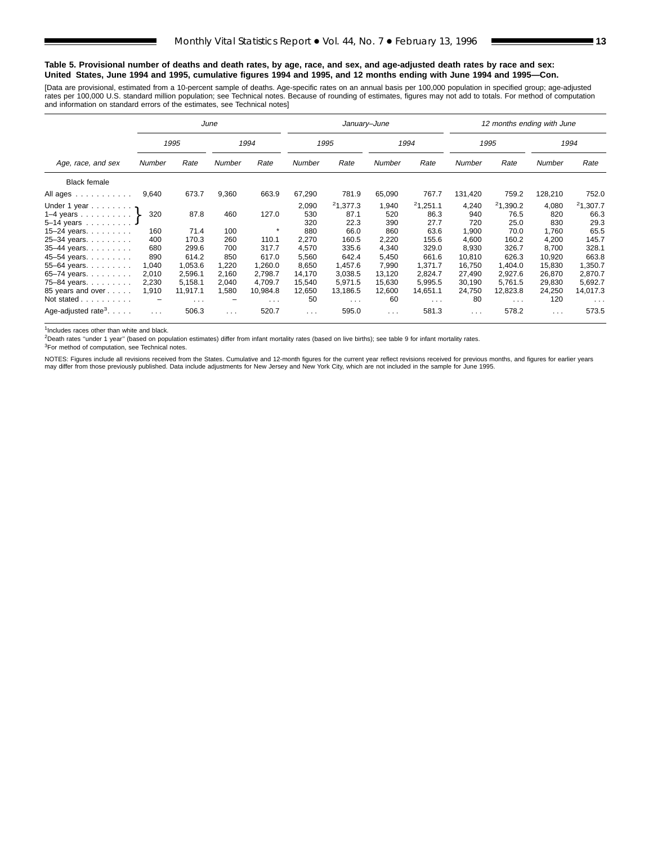#### **Table 5. Provisional number of deaths and death rates, by age, race, and sex, and age-adjusted death rates by race and sex: United States, June 1994 and 1995, cumulative figures 1994 and 1995, and 12 months ending with June 1994 and 1995—Con.**

[Data are provisional, estimated from a 10-percent sample of deaths. Age-specific rates on an annual basis per 100,000 population in specified group; age-adjusted<br>rates per 100,000 U.S. standard million population; see Tec

|                                                                                                                                     |                                          |                                                    | June                                     |                                                        |                                                                | January-June                                                           |                                                                |                                                                        | 12 months ending with June                                         |                                                                        |                                                                    |                                                                        |  |  |
|-------------------------------------------------------------------------------------------------------------------------------------|------------------------------------------|----------------------------------------------------|------------------------------------------|--------------------------------------------------------|----------------------------------------------------------------|------------------------------------------------------------------------|----------------------------------------------------------------|------------------------------------------------------------------------|--------------------------------------------------------------------|------------------------------------------------------------------------|--------------------------------------------------------------------|------------------------------------------------------------------------|--|--|
|                                                                                                                                     |                                          | 1995                                               |                                          | 1994                                                   |                                                                | 1995                                                                   |                                                                | 1994                                                                   |                                                                    | 1995                                                                   |                                                                    | 1994                                                                   |  |  |
| Age, race, and sex                                                                                                                  | Number                                   | Rate                                               | <b>Number</b>                            | Rate                                                   | Number                                                         | Rate                                                                   | <b>Number</b>                                                  | Rate                                                                   | <b>Number</b>                                                      | Rate                                                                   | Number                                                             | Rate                                                                   |  |  |
| <b>Black female</b>                                                                                                                 |                                          |                                                    |                                          |                                                        |                                                                |                                                                        |                                                                |                                                                        |                                                                    |                                                                        |                                                                    |                                                                        |  |  |
| All ages                                                                                                                            | 9,640                                    | 673.7                                              | 9,360                                    | 663.9                                                  | 67,290                                                         | 781.9                                                                  | 65,090                                                         | 767.7                                                                  | 131,420                                                            | 759.2                                                                  | 128,210                                                            | 752.0                                                                  |  |  |
| Under 1 year $\eta$<br>1–4 years $\}$<br>5-14 years<br>15-24 years.<br>25-34 years.<br>35-44 years.<br>45-54 years.<br>55-64 years. | 320<br>160<br>400<br>680<br>890<br>1,040 | 87.8<br>71.4<br>170.3<br>299.6<br>614.2<br>1,053.6 | 460<br>100<br>260<br>700<br>850<br>1,220 | 127.0<br>$\star$<br>110.1<br>317.7<br>617.0<br>1,260.0 | 2,090<br>530<br>320<br>880<br>2,270<br>4,570<br>5,560<br>8,650 | 21,377.3<br>87.1<br>22.3<br>66.0<br>160.5<br>335.6<br>642.4<br>1,457.6 | 1,940<br>520<br>390<br>860<br>2,220<br>4,340<br>5,450<br>7,990 | 21,251.1<br>86.3<br>27.7<br>63.6<br>155.6<br>329.0<br>661.6<br>1,371.7 | 4,240<br>940<br>720<br>1,900<br>4.600<br>8,930<br>10,810<br>16,750 | 21,390.2<br>76.5<br>25.0<br>70.0<br>160.2<br>326.7<br>626.3<br>1,404.0 | 4,080<br>820<br>830<br>1,760<br>4,200<br>8,700<br>10,920<br>15,830 | 21,307.7<br>66.3<br>29.3<br>65.5<br>145.7<br>328.1<br>663.8<br>1,350.7 |  |  |
| 65-74 years.<br>75-84 years.<br>85 years and over                                                                                   | 2,010<br>2,230<br>1,910                  | 2,596.1<br>5,158.1<br>11,917.1                     | 2.160<br>2,040<br>1,580                  | 2,798.7<br>4.709.7<br>10,984.8                         | 14,170<br>15,540<br>12,650                                     | 3,038.5<br>5.971.5<br>13,186.5                                         | 13,120<br>15,630<br>12,600                                     | 2,824.7<br>5,995.5<br>14,651.1                                         | 27,490<br>30,190<br>24,750                                         | 2,927.6<br>5.761.5<br>12,823.8                                         | 26,870<br>29,830<br>24,250                                         | 2,870.7<br>5,692.7<br>14,017.3                                         |  |  |
| Not stated<br>Age-adjusted rate <sup>3</sup> . $\ldots$ .                                                                           | $\cdots$                                 | $\sim$ $\sim$ $\sim$<br>506.3                      | $\cdots$                                 | $\sim$ $\sim$ $\sim$<br>520.7                          | 50<br>$\sim$ $\sim$ $\sim$                                     | $\sim$ $\sim$ $\sim$<br>595.0                                          | 60<br>$\sim$ $\sim$ $\sim$                                     | $\sim$ $\sim$ $\sim$<br>581.3                                          | 80<br>$\sim$ $\sim$ $\sim$                                         | $\sim$ $\sim$ $\sim$<br>578.2                                          | 120<br>$\cdots$                                                    | $\cdots$<br>573.5                                                      |  |  |

<sup>1</sup>Includes races other than white and black.

2Death rates ''under 1 year'' (based on population estimates) differ from infant mortality rates (based on live births); see table 9 for infant mortality rates.

3For method of computation, see Technical notes.

NOTES: Figures include all revisions received from the States. Cumulative and 12-month figures for the current year reflect revisions received for previous months, and figures for earlier years may differ from those previously published. Data include adjustments for New Jersey and New York City, which are not included in the sample for June 1995.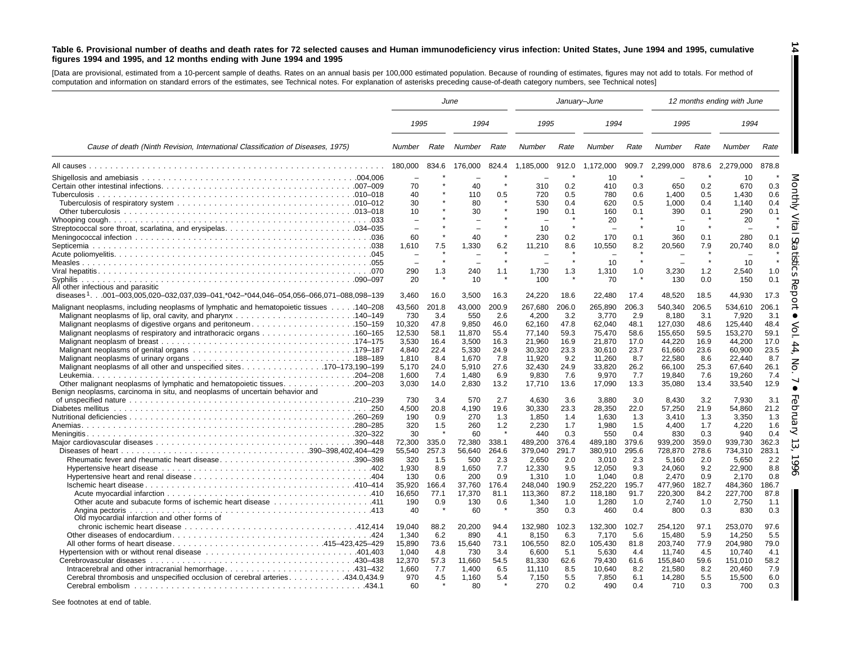#### Table 6. Provisional number of deaths and death rates for 72 selected causes and Human immunodeficiency virus infection: United States, June 1994 and 1995, cumulative figures 1994 and 1995, and 12 months ending with June 1994 and 1995

**14**

[Data are provisional, estimated from <sup>a</sup> 10-percent sample of deaths. Rates on an annual basis per 100,000 estimated population. Because of rounding of estimates, figures may not add to totals. For method of computation and information on standard errors of the estimates, see Technical notes. For explanation of asterisks preceding cause-of-death category numbers, see Technical notes]

|                                                                                         | June          |       |                          |       | January-June |       |           |       |                          |         | 12 months ending with June |            |
|-----------------------------------------------------------------------------------------|---------------|-------|--------------------------|-------|--------------|-------|-----------|-------|--------------------------|---------|----------------------------|------------|
|                                                                                         | 1995          |       | 1994                     |       | 1995         |       | 1994      |       | 1995                     |         | 1994                       |            |
| Cause of death (Ninth Revision, International Classification of Diseases, 1975)         | <b>Number</b> | Rate  | Number                   | Rate  | Number       | Rate  | Number    | Rate  | Number                   | Rate    | Number                     | Rate       |
|                                                                                         | 180,000       | 834.6 | 176,000                  | 824.4 | 1,185,000    | 912.0 | 1,172,000 | 909.7 | 2,299,000                | 878.6   | 2,279,000                  | 878.8      |
|                                                                                         |               |       |                          |       |              |       | 10        |       |                          |         | 10                         |            |
|                                                                                         | 70            |       | 40                       |       | 310          | 0.2   | 410       | 0.3   | 650                      | 0.2     | 670                        | 0.3        |
|                                                                                         | 40            |       | 110                      | 0.5   | 720          | 0.5   | 780       | 0.6   | 1.400                    | 0.5     | 1,430                      | 0.6        |
|                                                                                         | 30            |       | 80                       |       | 530          | 0.4   | 620       | 0.5   | 1,000                    | 0.4     | 1,140                      | 0.4        |
|                                                                                         | 10            |       | 30                       |       | 190          | 0.1   | 160       | 0.1   | 390                      | 0.1     | 290                        | 0.1        |
|                                                                                         |               |       |                          |       |              |       | 20        |       |                          |         | 20                         |            |
|                                                                                         | $\sim$        |       | $\overline{\phantom{0}}$ |       | 10           |       |           |       | 10                       |         |                            |            |
|                                                                                         | 60            |       | 40                       |       | 230          | 0.2   | 170       | 0.1   | 360                      | 0.1     | 280                        | 0.1        |
|                                                                                         | 1,610         | 7.5   | 1,330                    | 6.2   | 11,210       | 8.6   | 10,550    | 8.2   | 20,560                   | 7.9     | 20,740                     | 8.0        |
|                                                                                         |               |       |                          |       |              |       |           |       |                          |         |                            |            |
|                                                                                         |               |       |                          |       |              |       | 10        |       | $\overline{\phantom{a}}$ | $\star$ | 10                         |            |
|                                                                                         | 290           | 1.3   | 240                      | 1.1   | 1,730        | 1.3   | 1,310     | 1.0   | 3,230                    | 1.2     | 2,540                      | 1.0        |
|                                                                                         | 20            |       | 10                       |       | 100          |       | 70        |       | 130                      | 0.0     | 150                        | 0.1        |
| All other infectious and parasitic                                                      |               |       |                          |       |              |       |           |       |                          |         |                            |            |
| diseases $1.$ 001–003,005,020–032,037,039–041,*042–*044,046–054,056–066,071–088,098–139 | 3,460         | 16.0  | 3,500                    | 16.3  | 24,220       | 18.6  | 22,480    | 17.4  | 48,520                   | 18.5    | 44,930                     | 17.3       |
| Malignant neoplasms, including neoplasms of lymphatic and hematopoietic tissues 140–208 | 43,560        | 201.8 | 43,000                   | 200.9 | 267,680      | 206.0 | 265,890   | 206.3 | 540,340                  | 206.5   | 534,610                    | 206.1      |
|                                                                                         | 730           | 3.4   | 550                      | 2.6   | 4,200        | 3.2   | 3,770     | 2.9   | 8,180                    | 3.1     | 7,920                      | 3.1        |
| Malignant neoplasms of digestive organs and peritoneum150–159                           | 10,320        | 47.8  | 9,850                    | 46.0  | 62,160       | 47.8  | 62,040    | 48.1  | 127,030                  | 48.6    | 125,440                    | 48.4       |
|                                                                                         | 12,530        | 58.1  | 11,870                   | 55.4  | 77,140       | 59.3  | 75,470    | 58.6  | 155,650                  | 59.5    | 153,270                    | 59.1       |
|                                                                                         | 3,530         | 16.4  | 3.500                    | 16.3  | 21.960       | 16.9  | 21,870    | 17.0  | 44,220                   | 16.9    | 44.200                     | 17.0       |
|                                                                                         | 4,840         | 22.4  | 5,330                    | 24.9  | 30,320       | 23.3  | 30,610    | 23.7  | 61,660                   | 23.6    | 60,900                     | 23.5       |
|                                                                                         | 1,810         | 8.4   | 1,670                    | 7.8   | 11,920       | 9.2   | 11,260    | 8.7   | 22,580                   | 8.6     | 22,440                     | 8.7        |
|                                                                                         | 5.170         | 24.0  | 5.910                    | 27.6  | 32.430       | 24.9  | 33,820    | 26.2  | 66.100                   | 25.3    | 67.640                     | 26.1       |
|                                                                                         | 1.600         | 7.4   | 1.480                    | 6.9   | 9.830        | 7.6   | 9,970     | 7.7   | 19.840                   | 7.6     | 19.260                     | 7.4        |
| Other malignant neoplasms of lymphatic and hematopoietic tissues.<br>$. \, .200 - 203$  | 3.030         | 14.0  | 2,830                    | 13.2  | 17,710       | 13.6  | 17,090    | 13.3  | 35,080                   | 13.4    | 33,540                     | 12.9       |
| Benign neoplasms, carcinoma in situ, and neoplasms of uncertain behavior and            |               |       |                          |       |              |       |           |       |                          |         |                            |            |
|                                                                                         | 730           | 3.4   | 570                      | 2.7   | 4.630        | 3.6   | 3.880     | 3.0   | 8.430                    | 3.2     | 7.930                      | 3.1        |
|                                                                                         | 4.500         | 20.8  | 4.190                    | 19.6  | 30.330       | 23.3  | 28.350    | 22.0  | 57,250                   | 21.9    | 54,860                     | 21.2       |
|                                                                                         | 190           | 0.9   | 270                      | 1.3   | 1,850        | 1.4   | 1,630     | 1.3   | 3,410                    | 1.3     | 3,350                      | 1.3        |
|                                                                                         | 320           | 1.5   | 260                      | 1.2   | 2,230        | 1.7   | 1,980     | 1.5   | 4,400                    | 1.7     | 4,220                      | 1.6        |
|                                                                                         | 30            |       | 60                       |       | 440          | 0.3   | 550       | 0.4   | 830                      | 0.3     | 940                        | 0.4        |
|                                                                                         | 72,300        | 335.0 | 72,380                   | 338.1 | 489,200      | 376.4 | 489,180   | 379.6 | 939,200                  | 359.0   | 939,730                    | 362.3      |
|                                                                                         | 55,540        | 257.3 | 56,640                   | 264.6 | 379,040      | 291.7 | 380,910   | 295.6 | 728,870                  | 278.6   | 734,310                    | 283.1      |
| Rheumatic fever and rheumatic heart disease390-398                                      | 320           | 1.5   | 500                      | 2.3   | 2,650        | 2.0   | 3,010     | 2.3   | 5,160                    | 2.0     | 5,650                      | 2.2        |
|                                                                                         | 1,930         | 8.9   | 1,650                    | 7.7   | 12,330       | 9.5   | 12,050    | 9.3   | 24,060                   | 9.2     | 22,900                     | 8.8        |
|                                                                                         | 130           | 0.6   | 200                      | 0.9   | 1,310        | 1.0   | 1,040     | 0.8   | 2,470                    | 0.9     | 2,170                      | 0.8        |
|                                                                                         | 35,920        | 166.4 | 37,760                   | 176.4 | 248,040      | 190.9 | 252,220   | 195.7 | 477,960                  | 182.7   | 484,360                    | 186.7      |
|                                                                                         | 16,650        | 77.1  | 17,370                   | 81.1  | 113,360      | 87.2  | 118,180   | 91.7  | 220,300                  | 84.2    | 227,700                    | 87.8       |
|                                                                                         | 190           | 0.9   | 130                      | 0.6   | 1,340        | 1.0   | 1,280     | 1.0   | 2,740                    | 1.0     | 2,750                      | 1.1        |
| Old myocardial infarction and other forms of                                            | 40            |       | 60                       |       | 350          | 0.3   | 460       | 0.4   | 800                      | 0.3     | 830                        | 0.3        |
|                                                                                         | 19.040        | 88.2  | 20.200                   | 94.4  | 132.980      | 102.3 | 132.300   | 102.7 | 254.120                  | 97.1    | 253.070                    | 97.6       |
|                                                                                         | 1.340         | 6.2   | 890                      | 4.1   | 8.150        | 6.3   | 7,170     | 5.6   | 15,480                   | 5.9     | 14,250                     | 5.5        |
|                                                                                         | 15,890        | 73.6  |                          | 73.1  | 106,550      | 82.0  | 105,430   | 81.8  | 203,740                  | 77.9    | 204,980                    | 79.0       |
|                                                                                         | 1.040         | 4.8   | 15,640<br>730            | 3.4   |              | 5.1   | 5.630     | 4.4   |                          | 4.5     |                            | 4.1        |
|                                                                                         |               |       |                          |       | 6.600        |       |           |       | 11.740                   |         | 10.740                     |            |
|                                                                                         | 12,370        | 57.3  | 11.660                   | 54.5  | 81.330       | 62.6  | 79.430    | 61.6  | 155,840                  | 59.6    | 151.010                    | 58.2       |
|                                                                                         | 1.660         | 7.7   | 1.400                    | 6.5   | 11.110       | 8.5   | 10.640    | 8.2   | 21.580                   | 8.2     | 20.460                     | 7.9<br>6.0 |
| Cerebral thrombosis and unspecified occlusion of cerebral arteries 434.0,434.9          | 970           | 4.5   | 1.160                    | 5.4   | 7,150        | 5.5   | 7,850     | 6.1   | 14,280                   | 5.5     | 15,500                     |            |
|                                                                                         | 60            |       | 80                       |       | 270          | 0.2   | 490       | 0.4   | 710                      | 0.3     | 700                        | 0.3        |

See footnotes at end of table.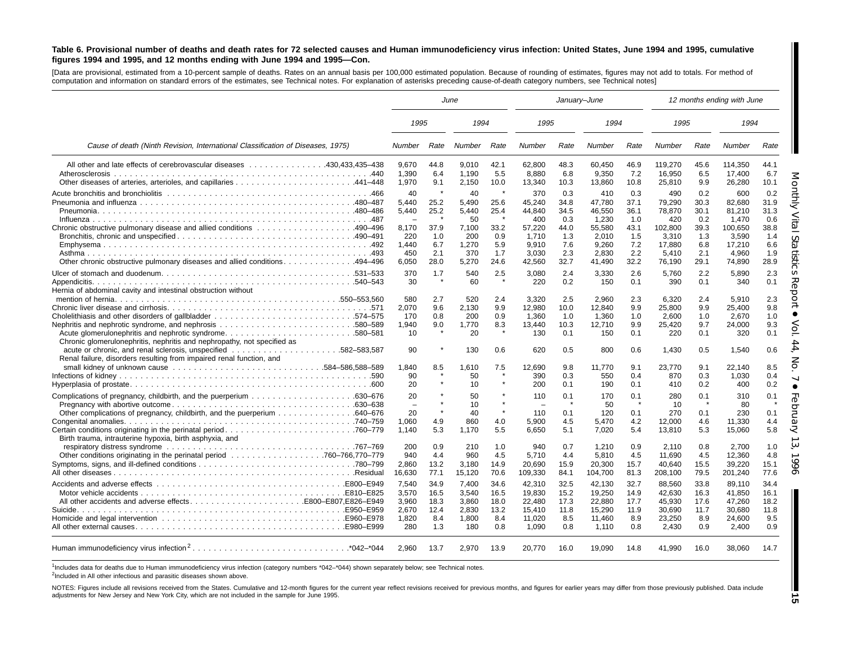#### Table 6. Provisional number of deaths and death rates for 72 selected causes and Human immunodeficiency virus infection: United States, June 1994 and 1995, cumulative figures 1994 and 1995, and 12 months ending with June 1994 and 1995-Con.

[Data are provisional, estimated from <sup>a</sup> 10-percent sample of deaths. Rates on an annual basis per 100,000 estimated population. Because of rounding of estimates, figures may not add to totals. For method of computation and information on standard errors of the estimates, see Technical notes. For explanation of asterisks preceding cause-of-death category numbers, see Technical notes]

|                                                                                                                                                    | June                                                   |                            | January-June                          |                                   |                                                          |                                   |                                             |                                    | 12 months ending with June                    |                                   |                                               |                                    |
|----------------------------------------------------------------------------------------------------------------------------------------------------|--------------------------------------------------------|----------------------------|---------------------------------------|-----------------------------------|----------------------------------------------------------|-----------------------------------|---------------------------------------------|------------------------------------|-----------------------------------------------|-----------------------------------|-----------------------------------------------|------------------------------------|
|                                                                                                                                                    | 1995                                                   |                            | 1994                                  |                                   | 1995                                                     |                                   | 1994                                        |                                    | 1995                                          |                                   | 1994                                          |                                    |
| Cause of death (Ninth Revision, International Classification of Diseases, 1975)                                                                    | Number                                                 | Rate                       | Number                                | Rate                              | Number                                                   | Rate                              | Number                                      | Rate                               | Number                                        | Rate                              | Number                                        | Rate                               |
| All other and late effects of cerebrovascular diseases 430,433,435–438<br>Atherosclerosis                                                          | 9.670<br>1.390<br>1,970                                | 44.8<br>6.4<br>9.1         | 9.010<br>1.190<br>2,150               | 42.1<br>5.5<br>10.0               | 62.800<br>8.880<br>13,340                                | 48.3<br>6.8<br>10.3               | 60.450<br>9,350<br>13,860                   | 46.9<br>7.2<br>10.8                | 119.270<br>16.950<br>25,810                   | 45.6<br>6.5<br>9.9                | 114.350<br>17.400<br>26,280                   | 44.1<br>6.7<br>10.1                |
|                                                                                                                                                    | 40<br>5.440<br>5,440<br>$\sim$                         | 25.2<br>25.2<br>37.9       | 40<br>5.490<br>5,440<br>50            | $\star$<br>25.6<br>25.4<br>*      | 370<br>45.240<br>44,840<br>400                           | 0.3<br>34.8<br>34.5<br>0.3        | 410<br>47.780<br>46,550<br>1,230            | 0.3<br>37.1<br>36.1<br>1.0<br>43.1 | 490<br>79.290<br>78,870<br>420                | 0.2<br>30.3<br>30.1<br>0.2        | 600<br>82.680<br>81.210<br>1,470              | 0.2<br>31.9<br>31.3<br>0.6<br>38.8 |
| Chronic obstructive pulmonary disease and allied conditions 490–496<br>Other chronic obstructive pulmonary diseases and allied conditions. 494–496 | 8.170<br>220<br>1.440<br>450<br>6,050                  | 1.0<br>6.7<br>2.1<br>28.0  | 7.100<br>200<br>1.270<br>370<br>5,270 | 33.2<br>0.9<br>5.9<br>1.7<br>24.6 | 57.220<br>1,710<br>9.910<br>3,030<br>42,560              | 44.0<br>1.3<br>7.6<br>2.3<br>32.7 | 55,580<br>2,010<br>9.260<br>2,830<br>41,490 | 1.5<br>7.2<br>2.2<br>32.2          | 102.800<br>3,310<br>17.880<br>5,410<br>76,190 | 39.3<br>1.3<br>6.8<br>2.1<br>29.1 | 100.650<br>3,590<br>17.210<br>4,960<br>74,890 | 1.4<br>6.6<br>1.9<br>28.9          |
| Hernia of abdominal cavity and intestinal obstruction without                                                                                      | 370<br>30                                              | 1.7                        | 540<br>60                             | 2.5<br>$\star$                    | 3,080<br>220                                             | 2.4<br>0.2                        | 3,330<br>150                                | 2.6<br>0.1                         | 5,760<br>390                                  | 2.2<br>0.1                        | 5,890<br>340                                  | 2.3<br>0.1                         |
|                                                                                                                                                    | 580<br>2,070<br>170<br>1,940<br>10                     | 2.7<br>9.6<br>0.8<br>9.0   | 520<br>2,130<br>200<br>1,770<br>20    | 2.4<br>9.9<br>0.9<br>8.3          | 3,320<br>12,980<br>1.360<br>13,440<br>130                | 2.5<br>10.0<br>1.0<br>10.3<br>0.1 | 2,960<br>12,840<br>1.360<br>12,710<br>150   | 2.3<br>9.9<br>1.0<br>9.9<br>0.1    | 6,320<br>25,800<br>2.600<br>25,420<br>220     | 2.4<br>9.9<br>1.0<br>9.7<br>0.1   | 5,910<br>25,400<br>2.670<br>24,000<br>320     | 2.3<br>9.8<br>1.0<br>9.3<br>0.1    |
| Chronic glomerulonephritis, nephritis and nephropathy, not specified as<br>Renal failure, disorders resulting from impaired renal function, and    | 90<br>1.840                                            | 8.5                        | 130<br>1.610                          | 0.6<br>7.5                        | 620<br>12.690                                            | 0.5<br>9.8                        | 800<br>11.770                               | 0.6<br>9.1                         | 1,430<br>23.770                               | 0.5<br>9.1                        | 1,540<br>22.140                               | 0.6<br>8.5                         |
|                                                                                                                                                    | 90<br>20                                               |                            | 50<br>10                              |                                   | 390<br>200                                               | 0.3<br>0.1                        | 550<br>190                                  | 0.4<br>0.1                         | 870<br>410                                    | 0.3<br>0.2                        | 1,030<br>400                                  | 0.4<br>0.2                         |
| Other complications of pregnancy, childbirth, and the puerperium 640–676                                                                           | 20<br>$\overline{\phantom{a}}$<br>20<br>1,060<br>1.140 | 4.9<br>5.3                 | 50<br>10<br>40<br>860<br>1.170        | $\star$<br>4.0<br>5.5             | 110<br>$\overline{\phantom{0}}$<br>110<br>5.900<br>6,650 | 0.1<br>0.1<br>4.5<br>5.1          | 170<br>50<br>120<br>5.470<br>7,020          | 0.1<br>0.1<br>4.2<br>5.4           | 280<br>10<br>270<br>12.000<br>13,810          | 0.1<br>0.1<br>4.6<br>5.3          | 310<br>80<br>230<br>11,330<br>15,060          | 0.1<br>0.1<br>4.4<br>5.8           |
| Birth trauma, intrauterine hypoxia, birth asphyxia, and                                                                                            | 200<br>940<br>2,860<br>16,630                          | 0.9<br>4.4<br>13.2<br>77.1 | 210<br>960<br>3,180<br>15,120         | 1.0<br>4.5<br>14.9<br>70.6        | 940<br>5.710<br>20,690<br>109,330                        | 0.7<br>4.4<br>15.9<br>84.1        | 1,210<br>5.810<br>20,300<br>104,700         | 0.9<br>4.5<br>15.7<br>81.3         | 2,110<br>11.690<br>40,640<br>208,100          | 0.8<br>4.5<br>15.5<br>79.5        | 2.700<br>12.360<br>39,220<br>201,240          | 1.0<br>4.8<br>15.1<br>77.6         |
| All other accidents and adverse effectsE800-E807,E826-E949                                                                                         | 7,540<br>3.570<br>3,960                                | 34.9<br>16.5<br>18.3       | 7.400<br>3.540<br>3,860               | 34.6<br>16.5<br>18.0              | 42,310<br>19.830<br>22,480                               | 32.5<br>15.2<br>17.3              | 42,130<br>19.250<br>22,880                  | 32.7<br>14.9<br>17.7               | 88,560<br>42.630<br>45,930                    | 33.8<br>16.3<br>17.6              | 89.110<br>41.850<br>47,260                    | 34.4<br>16.1<br>18.2               |
|                                                                                                                                                    | 2.670<br>1,820<br>280                                  | 12.4<br>8.4<br>1.3         | 2.830<br>1.800<br>180                 | 13.2<br>8.4<br>0.8                | 15.410<br>11,020<br>1,090                                | 11.8<br>8.5<br>0.8                | 15,290<br>11.460<br>1,110                   | 11.9<br>8.9<br>0.8                 | 30.690<br>23,250<br>2,430                     | 11.7<br>8.9<br>0.9                | 30.680<br>24.600<br>2,400                     | 11.8<br>9.5<br>0.9                 |
| Human immunodeficiency virus infection <sup>2</sup><br>.*042–*044                                                                                  | 2.960                                                  | 13.7                       | 2.970                                 | 13.9                              | 20,770                                                   | 16.0                              | 19,090                                      | 14.8                               | 41,990                                        | 16.0                              | 38,060                                        | 14.7                               |

1Includes data for deaths due to Human immunodeficiency virus infection (category numbers \*042-\*044) shown separately below; see Technical notes.

<sup>2</sup>Included in All other infectious and parasitic diseases shown above.

NOTES: Figures include all revisions received from the States. Cumulative and 12-month figures for the current year reflect revisions received for previous months, and figures for earlier years may differ from those previo adjustments for New Jersey and New York City, which are not included in the sample for June 1995.

**15**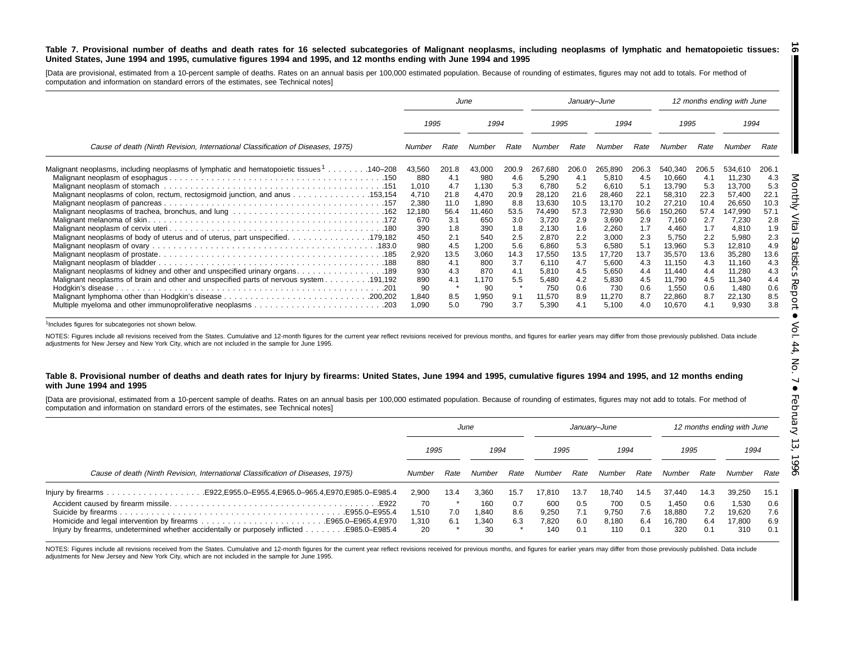#### Table 7. Provisional number of deaths and death rates for 16 selected subcategories of Malignant neoplasms, including neoplasms of lymphatic and hematopoietic tissues: United States, June 1994 and 1995, cumulative figures 1994 and 1995, and 12 months ending with June 1994 and 1995 <u>ිබ</u>

[Data are provisional, estimated from a 10-percent sample of deaths. Rates on an annual basis per 100,000 estimated population. Because of rounding of estimates, figures may not add to totals. For method of computation and information on standard errors of the estimates, see Technical notes]

|                                                                                                                                                                                       |                                                                                                |                                                                                        | June                                                                                             |                                                                                       | January-June                                                                                                   |                                                                                        |                                                                                                                |                                                                                        |                                                                                                                     |                                                                                        | 12 months ending with June                                                                                          |                                                                                        |
|---------------------------------------------------------------------------------------------------------------------------------------------------------------------------------------|------------------------------------------------------------------------------------------------|----------------------------------------------------------------------------------------|--------------------------------------------------------------------------------------------------|---------------------------------------------------------------------------------------|----------------------------------------------------------------------------------------------------------------|----------------------------------------------------------------------------------------|----------------------------------------------------------------------------------------------------------------|----------------------------------------------------------------------------------------|---------------------------------------------------------------------------------------------------------------------|----------------------------------------------------------------------------------------|---------------------------------------------------------------------------------------------------------------------|----------------------------------------------------------------------------------------|
|                                                                                                                                                                                       | 1995                                                                                           |                                                                                        | 1994                                                                                             |                                                                                       | 1995                                                                                                           |                                                                                        | 1994                                                                                                           |                                                                                        | 1995                                                                                                                |                                                                                        | 1994                                                                                                                |                                                                                        |
| Cause of death (Ninth Revision, International Classification of Diseases, 1975)                                                                                                       | Number                                                                                         | Rate                                                                                   | Number                                                                                           | Rate                                                                                  | Number                                                                                                         | Rate                                                                                   | Number                                                                                                         | Rate                                                                                   | Number                                                                                                              | Rate                                                                                   | Number                                                                                                              | Rate                                                                                   |
| Malignant neoplasms, including neoplasms of lymphatic and hematopoietic tissues <sup>1</sup> 140–208<br>Malignant neoplasms of colon, rectum, rectosigmoid junction, and anus 153,154 | 43,560<br>880<br>1,010<br>4,710<br>2,380<br>12,180<br>670<br>390<br>450<br>980<br>2,920<br>880 | 201.8<br>4.1<br>4.7<br>21.8<br>11.0<br>56.4<br>3.1<br>1.8<br>2.1<br>4.5<br>13.5<br>4.1 | 43,000<br>980<br>1,130<br>4,470<br>1,890<br>11,460<br>650<br>390<br>540<br>1,200<br>3,060<br>800 | 200.9<br>4.6<br>5.3<br>20.9<br>8.8<br>53.5<br>3.0<br>1.8<br>2.5<br>5.6<br>14.3<br>3.7 | 267.680<br>5,290<br>6.780<br>28,120<br>13,630<br>74.490<br>3,720<br>2,130<br>2,870<br>6.860<br>17,550<br>6.110 | 206.0<br>4.1<br>5.2<br>21.6<br>10.5<br>57.3<br>2.9<br>1.6<br>2.2<br>5.3<br>13.5<br>4.7 | 265,890<br>5,810<br>6,610<br>28,460<br>13,170<br>72,930<br>3,690<br>2,260<br>3,000<br>6,580<br>17,720<br>5,600 | 206.3<br>4.5<br>5.1<br>22.1<br>10.2<br>56.6<br>2.9<br>1.7<br>2.3<br>5.1<br>13.7<br>4.3 | 540,340<br>10,660<br>13,790<br>58,310<br>27,210<br>150,260<br>7,160<br>4,460<br>5,750<br>13,960<br>35,570<br>11,150 | 206.5<br>4.1<br>5.3<br>22.3<br>10.4<br>57.4<br>2.7<br>1.7<br>2.2<br>5.3<br>13.6<br>4.3 | 534,610<br>11,230<br>13,700<br>57,400<br>26,650<br>147,990<br>7,230<br>4,810<br>5,980<br>12,810<br>35,280<br>11,160 | 206.1<br>4.3<br>5.3<br>22.1<br>10.3<br>57.1<br>2.8<br>1.9<br>2.3<br>4.9<br>13.6<br>4.3 |
| 191,192. Malignant neoplasms of brain and other and unspecified parts of nervous system 191,192                                                                                       | 930<br>890<br>90<br>1,840<br>1,090                                                             | 4.3<br>4.1<br>8.5<br>5.0                                                               | 870<br>1.170<br>90<br>1,950<br>790                                                               | 4.1<br>5.5<br>9.1<br>3.7                                                              | 5,810<br>5,480<br>750<br>11,570<br>5,390                                                                       | 4.5<br>4.2<br>0.6<br>8.9<br>4.1                                                        | 5,650<br>5,830<br>730<br>11,270<br>5,100                                                                       | 4.4<br>4.5<br>0.6<br>8.7<br>4.0                                                        | 11,440<br>11,790<br>1,550<br>22,860<br>10,670                                                                       | 4.4<br>4.5<br>0.6<br>8.7<br>4.1                                                        | 11,280<br>11,340<br>1,480<br>22,130<br>9,930                                                                        | 4.3<br>4.4<br>0.6<br>8.5<br>3.8                                                        |

<sup>1</sup>Includes figures for subcategories not shown below.

NOTES: Figures include all revisions received from the States. Cumulative and 12-month figures for the current year reflect revisions received for previous months, and figures for earlier years may differ from those previo adjustments for New Jersey and New York City, which are not included in the sample for June 1995.

#### Table 8. Provisional number of deaths and death rates for Injury by firearms: United States, June 1994 and 1995, cumulative figures 1994 and 1995, and 12 months ending **with June 1994 and 1995**

[Data are provisional, estimated from a 10-percent sample of deaths. Rates on an annual basis per 100,000 estimated population. Because of rounding of estimates, figures may not add to totals. For method of computation and information on standard errors of the estimates, see Technical notes]

|                                                                                                                  | June                      |            |                           |                   |                              | January–June             |                              |                          | 12 months ending with June       |                          |                                  |                          |
|------------------------------------------------------------------------------------------------------------------|---------------------------|------------|---------------------------|-------------------|------------------------------|--------------------------|------------------------------|--------------------------|----------------------------------|--------------------------|----------------------------------|--------------------------|
|                                                                                                                  | 1995                      |            | 1994                      |                   | 1995                         |                          | 1994                         |                          | 1995                             |                          | 1994                             |                          |
| Cause of death (Ninth Revision, International Classification of Diseases, 1975)                                  | Number                    | Rate       | Number                    | Rate              | Number                       | Rate                     | Number                       | Rate                     | Number                           | Rate                     | Number                           | Rate                     |
|                                                                                                                  | 2.900                     | 13.4       | 3.360                     | 15.7              | 17.810                       | 13.7                     | 18.740                       | 14.5                     | 37.440                           | 14.3                     | 39,250                           | 15.1                     |
| E922. .<br>Injury by firearms, undetermined whether accidentally or purposely inflicted $\dots$<br>E985.0-E985.4 | 70<br>1.510<br>,310<br>20 | 7.0<br>6.1 | 160<br>.840<br>.340<br>30 | 0.7<br>8.6<br>6.3 | 600<br>9.250<br>7.820<br>140 | 0.5<br>7.1<br>6.0<br>0.1 | 700<br>9.750<br>8.180<br>110 | 0.5<br>7.6<br>6.4<br>0.1 | 1.450<br>18.880<br>16.780<br>320 | 0.6<br>7.2<br>6.4<br>0.1 | 1,530<br>19,620<br>17.800<br>310 | 0.6<br>7.6<br>6.9<br>0.1 |

NOTES: Figures include all revisions received from the States. Cumulative and 12-month figures for the current year reflect revisions received for previous months, and figures for earlier years may differ from those previo adjustments for New Jersey and New York City, which are not included in the sample for June 1995.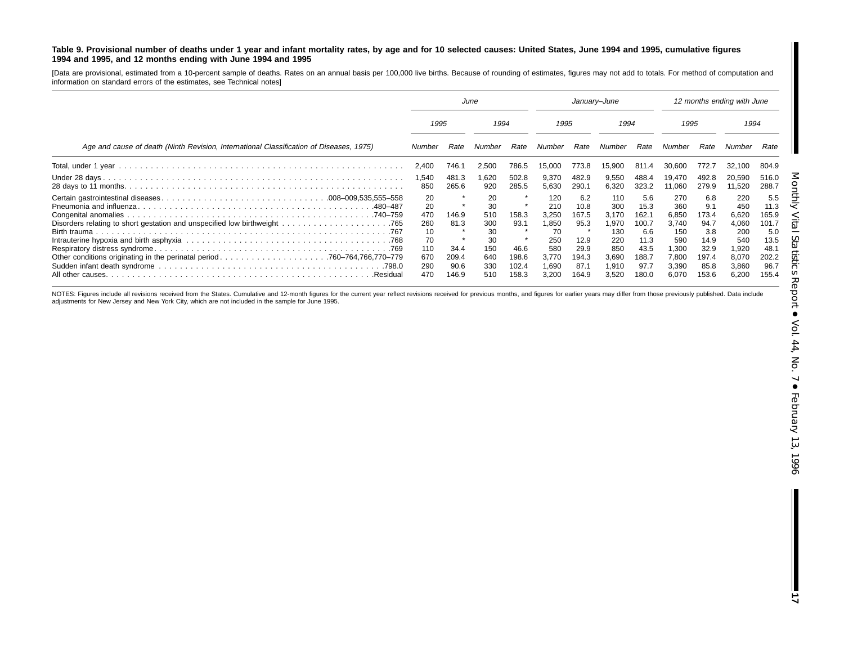#### Table 9. Provisional number of deaths under 1 year and infant mortality rates, by age and for 10 selected causes: United States, June 1994 and 1995, cumulative figures **1994 and 1995, and 12 months ending with June 1994 and 1995**

[Data are provisional, estimated from a 10-percent sample of deaths. Rates on an annual basis per 100,000 live births. Because of rounding of estimates, figures may not add to totals. For method of computation and information on standard errors of the estimates, see Technical notes]

|                                                                                         | June                                                           |                                                 |                                                                | January-June                                                |                                                                             |                                                                        |                                                                              | 12 months ending with June                                                     |                                                                                |                                                                              |                                                                                |                                                                                |
|-----------------------------------------------------------------------------------------|----------------------------------------------------------------|-------------------------------------------------|----------------------------------------------------------------|-------------------------------------------------------------|-----------------------------------------------------------------------------|------------------------------------------------------------------------|------------------------------------------------------------------------------|--------------------------------------------------------------------------------|--------------------------------------------------------------------------------|------------------------------------------------------------------------------|--------------------------------------------------------------------------------|--------------------------------------------------------------------------------|
|                                                                                         | 1995                                                           |                                                 | 1994                                                           |                                                             | 1995                                                                        |                                                                        | 1994                                                                         |                                                                                | 1995                                                                           |                                                                              | 1994                                                                           |                                                                                |
| Age and cause of death (Ninth Revision, International Classification of Diseases, 1975) | Number                                                         | Rate                                            | Number                                                         | Rate                                                        | Number                                                                      | Rate                                                                   | Number                                                                       | Rate                                                                           | Number                                                                         | Rate                                                                         | Number                                                                         | Rate                                                                           |
|                                                                                         | 2,400                                                          | 746.1                                           | 2,500                                                          | 786.5                                                       | 15,000                                                                      | 773.8                                                                  | 15,900                                                                       | 811.4                                                                          | 30,600                                                                         | 772.7                                                                        | 32,100                                                                         | 804.9                                                                          |
|                                                                                         | 1,540<br>850                                                   | 481.3<br>265.6                                  | 620, ا<br>920                                                  | 502.8<br>285.5                                              | 9,370<br>5,630                                                              | 482.9<br>290.1                                                         | 9,550<br>6,320                                                               | 488.4<br>323.2                                                                 | 19.470<br>11,060                                                               | 492.8<br>279.9                                                               | 20,590<br>11,520                                                               | 516.0<br>288.7                                                                 |
| .Residual                                                                               | 20<br>20<br>470<br>260<br>10<br>70<br>110<br>670<br>290<br>470 | 146.9<br>81.3<br>34.4<br>209.4<br>90.6<br>146.9 | 20<br>30<br>510<br>300<br>30<br>30<br>150<br>640<br>330<br>510 | 158.3<br>93.1<br>$\star$<br>46.6<br>198.6<br>102.4<br>158.3 | 120<br>210<br>3,250<br>1,850<br>70<br>250<br>580<br>3.770<br>1,690<br>3,200 | 6.2<br>10.8<br>167.5<br>95.3<br>12.9<br>29.9<br>194.3<br>87.7<br>164.9 | 110<br>300<br>3.170<br>1.970<br>130<br>220<br>850<br>3,690<br>1.910<br>3.520 | 5.6<br>15.3<br>162.1<br>100.7<br>6.6<br>11.3<br>43.5<br>188.7<br>97.7<br>180.0 | 270<br>360<br>6,850<br>3,740<br>150<br>590<br>1.300<br>7,800<br>3,390<br>6.070 | 6.8<br>9.1<br>173.4<br>94.7<br>3.8<br>14.9<br>32.9<br>197.4<br>85.8<br>153.6 | 220<br>450<br>6,620<br>4,060<br>200<br>540<br>1,920<br>8,070<br>3,860<br>6,200 | 5.5<br>11.3<br>165.9<br>101.7<br>5.0<br>13.5<br>48.1<br>202.2<br>96.7<br>155.4 |

NOTES: Figures include all revisions received from the States. Cumulative and 12-month figures for the current year reflect revisions received for previous months, and figures for earlier years may differ from those previo adjustments for New Jersey and New York City, which are not included in the sample for June 1995.

**17**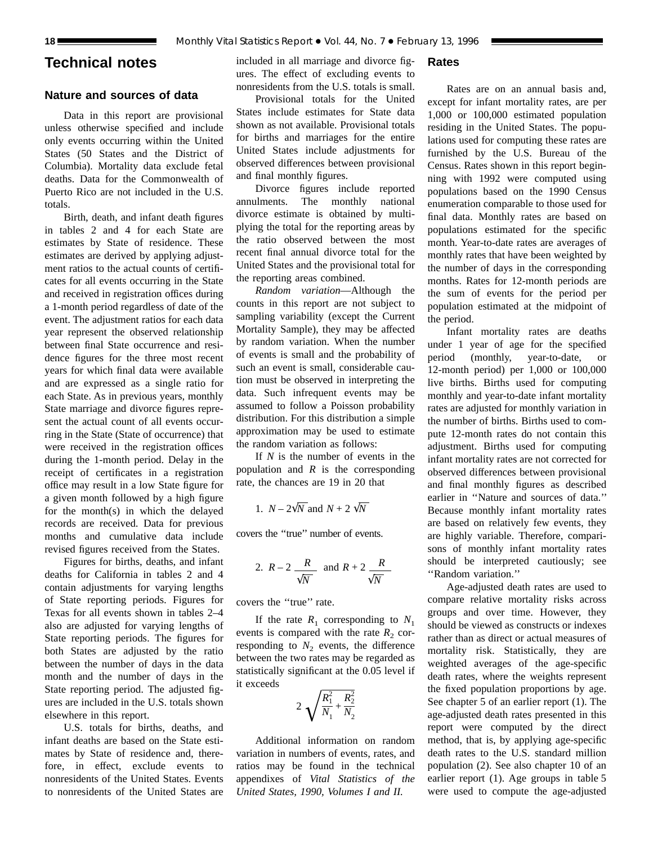# **Technical notes**

## **Nature and sources of data**

Data in this report are provisional unless otherwise specified and include only events occurring within the United States (50 States and the District of Columbia). Mortality data exclude fetal deaths. Data for the Commonwealth of Puerto Rico are not included in the U.S. totals.

Birth, death, and infant death figures in tables 2 and 4 for each State are estimates by State of residence. These estimates are derived by applying adjustment ratios to the actual counts of certificates for all events occurring in the State and received in registration offices during a 1-month period regardless of date of the event. The adjustment ratios for each data year represent the observed relationship between final State occurrence and residence figures for the three most recent years for which final data were available and are expressed as a single ratio for each State. As in previous years, monthly State marriage and divorce figures represent the actual count of all events occurring in the State (State of occurrence) that were received in the registration offices during the 1-month period. Delay in the receipt of certificates in a registration office may result in a low State figure for a given month followed by a high figure for the month(s) in which the delayed records are received. Data for previous months and cumulative data include revised figures received from the States.

Figures for births, deaths, and infant deaths for California in tables 2 and 4 contain adjustments for varying lengths of State reporting periods. Figures for Texas for all events shown in tables 2–4 also are adjusted for varying lengths of State reporting periods. The figures for both States are adjusted by the ratio between the number of days in the data month and the number of days in the State reporting period. The adjusted figures are included in the U.S. totals shown elsewhere in this report.

U.S. totals for births, deaths, and infant deaths are based on the State estimates by State of residence and, therefore, in effect, exclude events to nonresidents of the United States. Events to nonresidents of the United States are included in all marriage and divorce figures. The effect of excluding events to nonresidents from the U.S. totals is small.

# Provisional totals for the United States include estimates for State data shown as not available. Provisional totals for births and marriages for the entire United States include adjustments for observed differences between provisional and final monthly figures.

Divorce figures include reported annulments. The monthly national divorce estimate is obtained by multiplying the total for the reporting areas by the ratio observed between the most recent final annual divorce total for the United States and the provisional total for the reporting areas combined.

*Random variation*—Although the counts in this report are not subject to sampling variability (except the Current Mortality Sample), they may be affected by random variation. When the number of events is small and the probability of such an event is small, considerable caution must be observed in interpreting the data. Such infrequent events may be assumed to follow a Poisson probability distribution. For this distribution a simple approximation may be used to estimate the random variation as follows:

If *N* is the number of events in the population and *R* is the corresponding rate, the chances are 19 in 20 that

1. 
$$
N - 2\sqrt{N}
$$
 and  $N + 2\sqrt{N}$ 

covers the ''true'' number of events.

2. 
$$
R-2
$$
  $\frac{R}{\sqrt{N}}$  and  $R+2$   $\frac{R}{\sqrt{N}}$ 

covers the ''true'' rate.

If the rate  $R_1$  corresponding to  $N_1$ events is compared with the rate  $R_2$  corresponding to  $N_2$  events, the difference between the two rates may be regarded as statistically significant at the 0.05 level if it exceeds

$$
2\sqrt{\frac{R_1^2}{N_1} + \frac{R_2^2}{N_2}}
$$

Additional information on random variation in numbers of events, rates, and ratios may be found in the technical appendixes of *Vital Statistics of the United States, 1990, Volumes I and II.*

**Rates**

Rates are on an annual basis and, except for infant mortality rates, are per 1,000 or 100,000 estimated population residing in the United States. The populations used for computing these rates are furnished by the U.S. Bureau of the Census. Rates shown in this report beginning with 1992 were computed using populations based on the 1990 Census enumeration comparable to those used for final data. Monthly rates are based on populations estimated for the specific month. Year-to-date rates are averages of monthly rates that have been weighted by the number of days in the corresponding months. Rates for 12-month periods are the sum of events for the period per population estimated at the midpoint of the period.

Infant mortality rates are deaths under 1 year of age for the specified period (monthly, year-to-date, or 12-month period) per 1,000 or 100,000 live births. Births used for computing monthly and year-to-date infant mortality rates are adjusted for monthly variation in the number of births. Births used to compute 12-month rates do not contain this adjustment. Births used for computing infant mortality rates are not corrected for observed differences between provisional and final monthly figures as described earlier in ''Nature and sources of data.'' Because monthly infant mortality rates are based on relatively few events, they are highly variable. Therefore, comparisons of monthly infant mortality rates should be interpreted cautiously; see ''Random variation.''

Age-adjusted death rates are used to compare relative mortality risks across groups and over time. However, they should be viewed as constructs or indexes rather than as direct or actual measures of mortality risk. Statistically, they are weighted averages of the age-specific death rates, where the weights represent the fixed population proportions by age. See chapter 5 of an earlier report (1). The age-adjusted death rates presented in this report were computed by the direct method, that is, by applying age-specific death rates to the U.S. standard million population (2). See also chapter 10 of an earlier report (1). Age groups in table 5 were used to compute the age-adjusted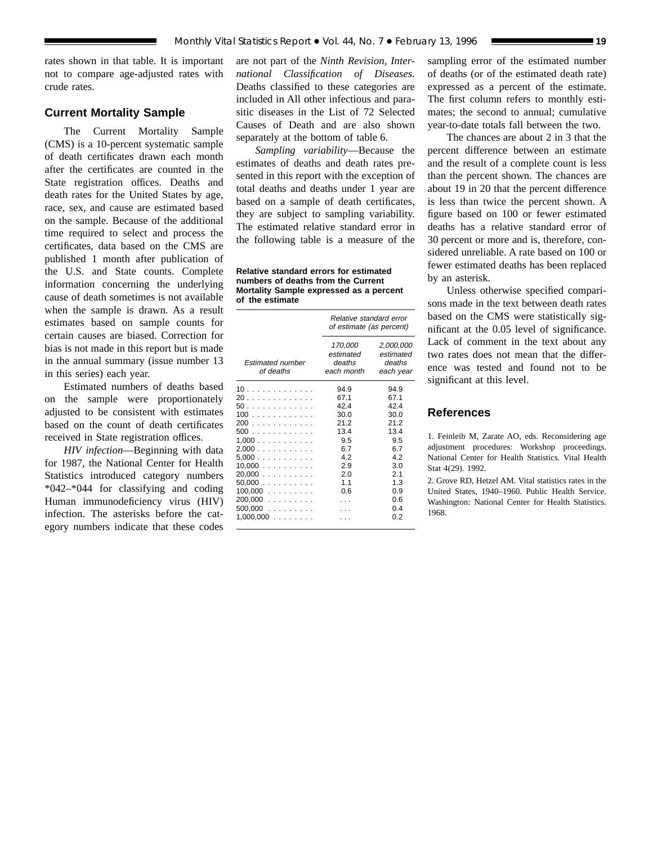rates shown in that table. It is important not to compare age-adjusted rates with crude rates.

## **Current Mortality Sample**

The Current Mortality Sample (CMS) is a 10-percent systematic sample of death certificates drawn each month after the certificates are counted in the State registration offices. Deaths and death rates for the United States by age, race, sex, and cause are estimated based on the sample. Because of the additional time required to select and process the certificates, data based on the CMS are published 1 month after publication of the U.S. and State counts. Complete information concerning the underlying cause of death sometimes is not available when the sample is drawn. As a result estimates based on sample counts for certain causes are biased. Correction for bias is not made in this report but is made in the annual summary (issue number 13 in this series) each year.

Estimated numbers of deaths based on the sample were proportionately adjusted to be consistent with estimates based on the count of death certificates received in State registration offices.

*HIV infection*—Beginning with data for 1987, the National Center for Health Statistics introduced category numbers \*042–\*044 for classifying and coding Human immunodeficiency virus (HIV) infection. The asterisks before the category numbers indicate that these codes

are not part of the *Ninth Revision, International Classification of Diseases.* Deaths classified to these categories are included in All other infectious and parasitic diseases in the List of 72 Selected Causes of Death and are also shown separately at the bottom of table 6.

*Sampling variability*—Because the estimates of deaths and death rates presented in this report with the exception of total deaths and deaths under 1 year are based on a sample of death certificates, they are subject to sampling variability. The estimated relative standard error in the following table is a measure of the

**Relative standard errors for estimated numbers of deaths from the Current Mortality Sample expressed as a percent of the estimate**

|                                                                                                                 | Relative standard error<br>of estimate (as percent)                                         |                                                                                                   |  |  |  |  |  |  |
|-----------------------------------------------------------------------------------------------------------------|---------------------------------------------------------------------------------------------|---------------------------------------------------------------------------------------------------|--|--|--|--|--|--|
| <b>Estimated number</b><br>of deaths                                                                            | 170,000<br>estimated<br>deaths<br>each month                                                | 2,000,000<br>estimated<br>deaths<br>each year                                                     |  |  |  |  |  |  |
| 10.<br>20<br>50.<br>100<br>200<br>500<br>1.000<br>2,000<br>5.000<br>$10,000$<br>$20,000$<br>50,000<br>$100,000$ | 94.9<br>67.1<br>42.4<br>30.0<br>212<br>13.4<br>9.5<br>6.7<br>42<br>2.9<br>2.0<br>1.1<br>0.6 | 94.9<br>67.1<br>424<br>30.0<br>21.2<br>13.4<br>9.5<br>67<br>42<br>3.0<br>2.1<br>1.3<br>0.9<br>0.6 |  |  |  |  |  |  |
| $200,000$<br>$500,000$<br>1,000,000<br>.                                                                        |                                                                                             | 04<br>0 2                                                                                         |  |  |  |  |  |  |

sampling error of the estimated number of deaths (or of the estimated death rate) expressed as a percent of the estimate. The first column refers to monthly estimates; the second to annual; cumulative year-to-date totals fall between the two.

The chances are about 2 in 3 that the percent difference between an estimate and the result of a complete count is less than the percent shown. The chances are about 19 in 20 that the percent difference is less than twice the percent shown. A figure based on 100 or fewer estimated deaths has a relative standard error of 30 percent or more and is, therefore, considered unreliable. A rate based on 100 or fewer estimated deaths has been replaced by an asterisk.

Unless otherwise specified comparisons made in the text between death rates based on the CMS were statistically significant at the 0.05 level of significance. Lack of comment in the text about any two rates does not mean that the difference was tested and found not to be significant at this level.

## **References**

1. Feinleib M, Zarate AO, eds. Reconsidering age adjustment procedures: Workshop proceedings. National Center for Health Statistics. Vital Health Stat 4(29). 1992.

2. Grove RD, Hetzel AM. Vital statistics rates in the United States, 1940–1960. Public Health Service. Washington: National Center for Health Statistics. 1968.